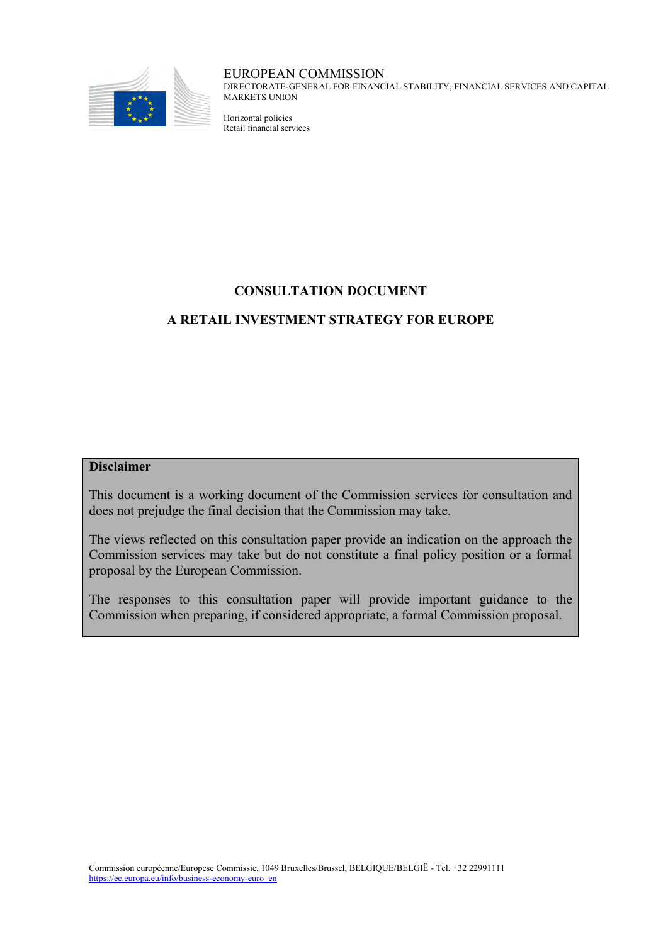

#### EUROPEAN COMMISSION

DIRECTORATE-GENERAL FOR FINANCIAL STABILITY, FINANCIAL SERVICES AND CAPITAL MARKETS UNION

Horizontal policies Retail financial services

# **CONSULTATION DOCUMENT**

# **A RETAIL INVESTMENT STRATEGY FOR EUROPE**

# **Disclaimer**

This document is a working document of the Commission services for consultation and does not prejudge the final decision that the Commission may take.

The views reflected on this consultation paper provide an indication on the approach the Commission services may take but do not constitute a final policy position or a formal proposal by the European Commission.

The responses to this consultation paper will provide important guidance to the Commission when preparing, if considered appropriate, a formal Commission proposal.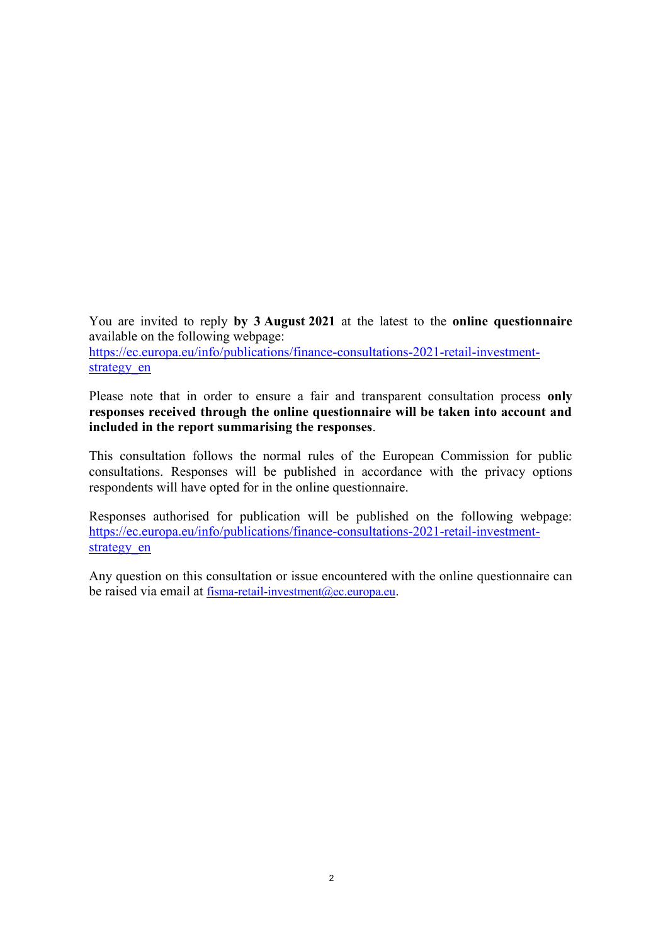You are invited to reply **by 3 August 2021** at the latest to the **online questionnaire** available on the following webpage: [https://ec.europa.eu/info/publications/finance-consultations-2021-retail-investment](https://ec.europa.eu/info/publications/finance-consultations-2021-retail-investment-strategy_en)strategy en

Please note that in order to ensure a fair and transparent consultation process **only responses received through the online questionnaire will be taken into account and included in the report summarising the responses**.

This consultation follows the normal rules of the European Commission for public consultations. Responses will be published in accordance with the privacy options respondents will have opted for in the online questionnaire.

Responses authorised for publication will be published on the following webpage: [https://ec.europa.eu/info/publications/finance-consultations-2021-retail-investment](https://ec.europa.eu/info/publications/finance-consultations-2021-retail-investment-strategy_en)strategy en

Any question on this consultation or issue encountered with the online questionnaire can be raised via email at [fisma-retail-investment@ec.europa.eu](mailto:fisma-retail-investment@ec.europa.eu).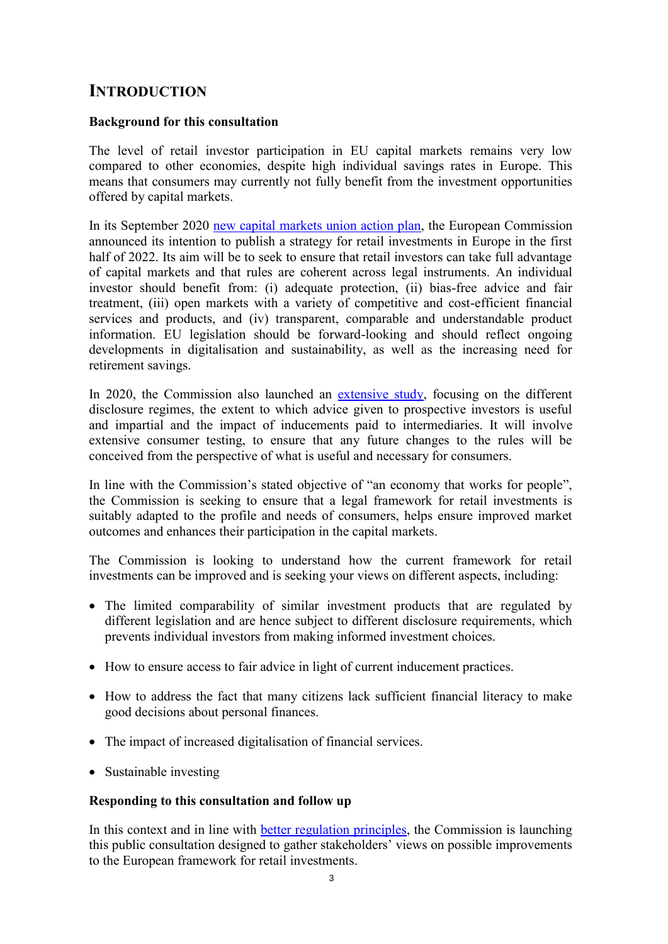# **INTRODUCTION**

## **Background for this consultation**

The level of retail investor participation in EU capital markets remains very low compared to other economies, despite high individual savings rates in Europe. This means that consumers may currently not fully benefit from the investment opportunities offered by capital markets.

In its September 2020 [new capital markets union action plan,](https://ec.europa.eu/info/business-economy-euro/growth-and-investment/capital-markets-union/capital-markets-union-2020-action-plan_en) the European Commission announced its intention to publish a strategy for retail investments in Europe in the first half of 2022. Its aim will be to seek to ensure that retail investors can take full advantage of capital markets and that rules are coherent across legal instruments. An individual investor should benefit from: (i) adequate protection, (ii) bias-free advice and fair treatment, (iii) open markets with a variety of competitive and cost-efficient financial services and products, and (iv) transparent, comparable and understandable product information. EU legislation should be forward-looking and should reflect ongoing developments in digitalisation and sustainability, as well as the increasing need for retirement savings.

In 2020, the Commission also launched an [extensive study,](https://etendering.ted.europa.eu/cft/cft-display.html?cftId=5959) focusing on the different disclosure regimes, the extent to which advice given to prospective investors is useful and impartial and the impact of inducements paid to intermediaries. It will involve extensive consumer testing, to ensure that any future changes to the rules will be conceived from the perspective of what is useful and necessary for consumers.

In line with the Commission's stated objective of "an economy that works for people", the Commission is seeking to ensure that a legal framework for retail investments is suitably adapted to the profile and needs of consumers, helps ensure improved market outcomes and enhances their participation in the capital markets.

The Commission is looking to understand how the current framework for retail investments can be improved and is seeking your views on different aspects, including:

- The limited comparability of similar investment products that are regulated by different legislation and are hence subject to different disclosure requirements, which prevents individual investors from making informed investment choices.
- How to ensure access to fair advice in light of current inducement practices.
- How to address the fact that many citizens lack sufficient financial literacy to make good decisions about personal finances.
- The impact of increased digitalisation of financial services.
- Sustainable investing

### **Responding to this consultation and follow up**

In this context and in line with [better regulation principles,](https://ec.europa.eu/info/law/law-making-process/planning-and-proposing-law/better-regulation-why-and-how_en) the Commission is launching this public consultation designed to gather stakeholders' views on possible improvements to the European framework for retail investments.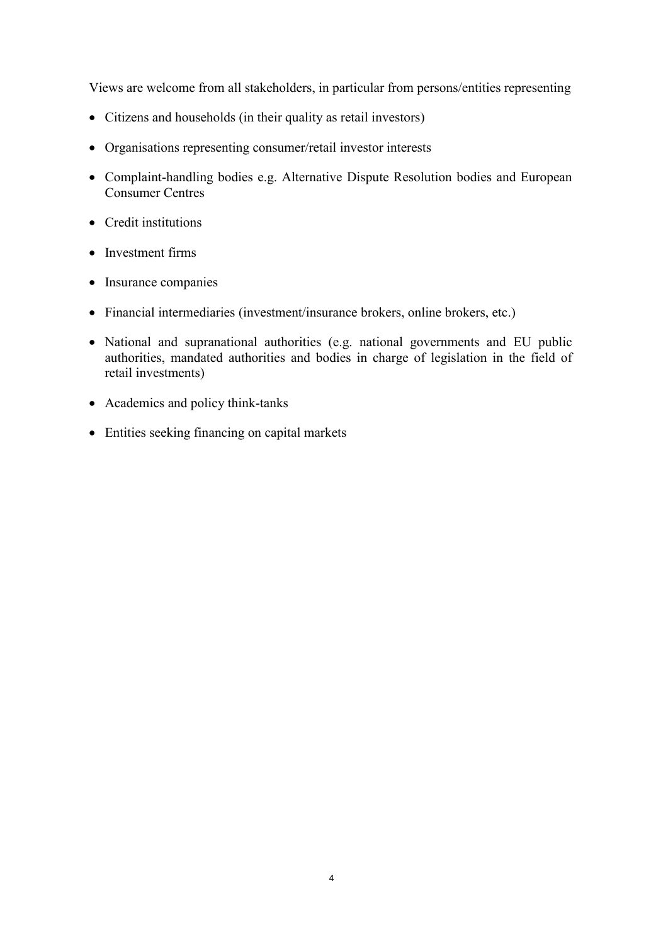Views are welcome from all stakeholders, in particular from persons/entities representing

- Citizens and households (in their quality as retail investors)
- Organisations representing consumer/retail investor interests
- Complaint-handling bodies e.g. Alternative Dispute Resolution bodies and European Consumer Centres
- Credit institutions
- Investment firms
- Insurance companies
- Financial intermediaries (investment/insurance brokers, online brokers, etc.)
- National and supranational authorities (e.g. national governments and EU public authorities, mandated authorities and bodies in charge of legislation in the field of retail investments)
- Academics and policy think-tanks
- Entities seeking financing on capital markets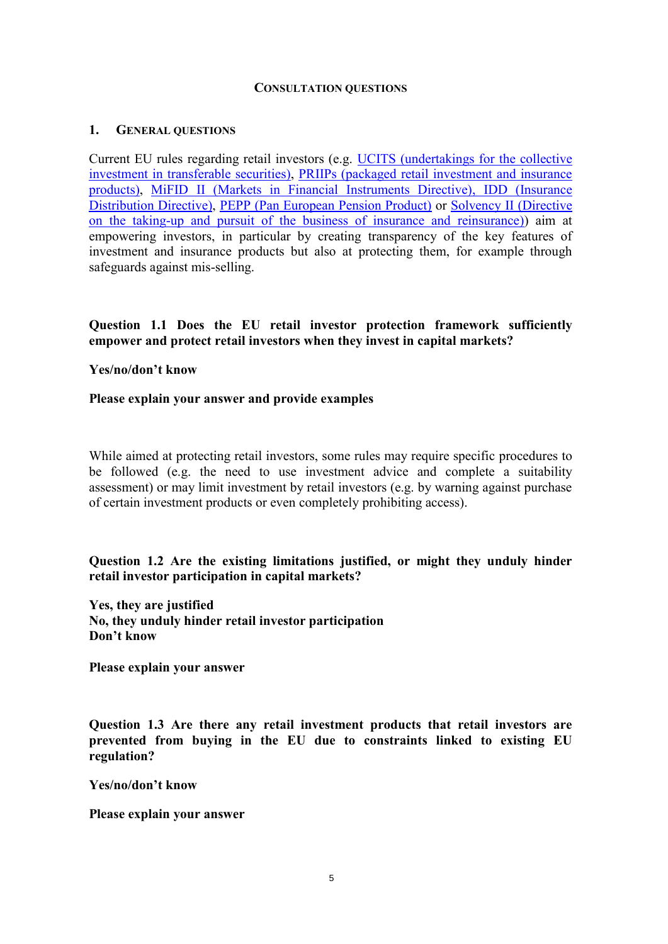#### **CONSULTATION QUESTIONS**

#### **1. GENERAL QUESTIONS**

Current EU rules regarding retail investors (e.g. [UCITS \(undertakings for the collective](https://eur-lex.europa.eu/legal-content/EN/TXT/?uri=CELEX:32009L0065)  [investment in transferable securities\),](https://eur-lex.europa.eu/legal-content/EN/TXT/?uri=CELEX:32009L0065) [PRIIPs \(packaged retail investment and insurance](https://eur-lex.europa.eu/legal-content/EN/TXT/?uri=CELEX:32014R1286)  [products\),](https://eur-lex.europa.eu/legal-content/EN/TXT/?uri=CELEX:32014R1286) [MiFID II \(Markets in Financial Instruments Directive\),](https://eur-lex.europa.eu/legal-content/EN/TXT/?uri=CELEX:32014L0065) [IDD \(Insurance](https://eur-lex.europa.eu/legal-content/EN/TXT/?uri=CELEX:32016L0097)  [Distribution Directive\),](https://eur-lex.europa.eu/legal-content/EN/TXT/?uri=CELEX:32016L0097) [PEPP \(Pan European Pension Product\)](https://eur-lex.europa.eu/legal-content/EN/TXT/?uri=CELEX:32019R1238) or [Solvency II \(Directive](https://eur-lex.europa.eu/legal-content/EN/TXT/?uri=CELEX:32009L0138)  [on the taking-up and pursuit of the business of insurance and reinsurance\)\)](https://eur-lex.europa.eu/legal-content/EN/TXT/?uri=CELEX:32009L0138) aim at empowering investors, in particular by creating transparency of the key features of investment and insurance products but also at protecting them, for example through safeguards against mis-selling.

### **Question 1.1 Does the EU retail investor protection framework sufficiently empower and protect retail investors when they invest in capital markets?**

#### **Yes/no/don't know**

#### **Please explain your answer and provide examples**

While aimed at protecting retail investors, some rules may require specific procedures to be followed (e.g. the need to use investment advice and complete a suitability assessment) or may limit investment by retail investors (e.g. by warning against purchase of certain investment products or even completely prohibiting access).

### **Question 1.2 Are the existing limitations justified, or might they unduly hinder retail investor participation in capital markets?**

**Yes, they are justified No, they unduly hinder retail investor participation Don't know** 

**Please explain your answer** 

**Question 1.3 Are there any retail investment products that retail investors are prevented from buying in the EU due to constraints linked to existing EU regulation?** 

**Yes/no/don't know**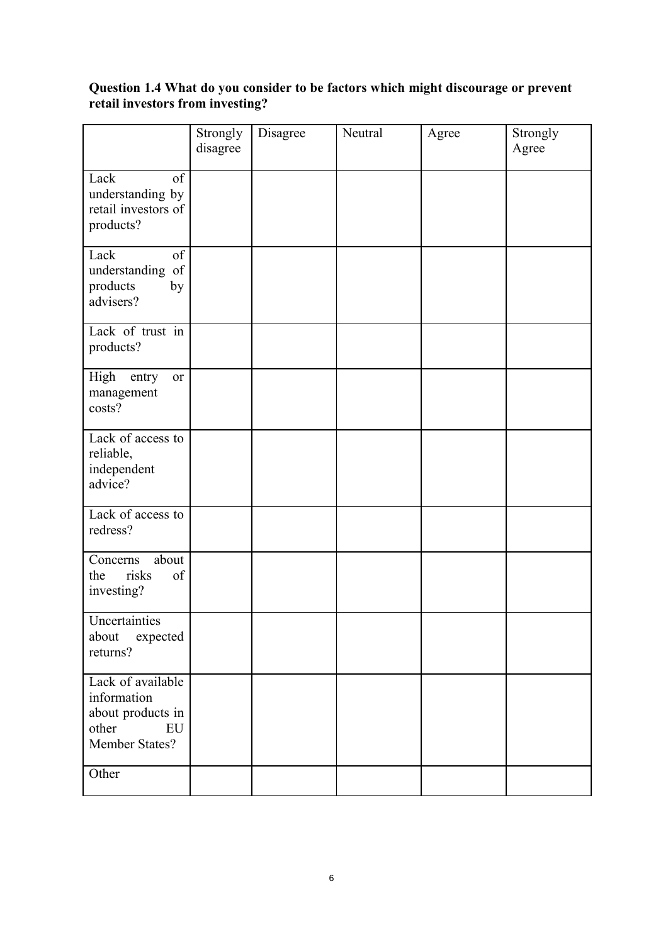### **Question 1.4 What do you consider to be factors which might discourage or prevent retail investors from investing?**

|                                                                                        | Strongly<br>disagree | Disagree | Neutral | Agree | Strongly<br>Agree |
|----------------------------------------------------------------------------------------|----------------------|----------|---------|-------|-------------------|
| Lack<br>of<br>understanding by<br>retail investors of<br>products?                     |                      |          |         |       |                   |
| Lack<br>of<br>understanding of<br>products<br>by<br>advisers?                          |                      |          |         |       |                   |
| Lack of trust in<br>products?                                                          |                      |          |         |       |                   |
| High<br>entry<br>or<br>management<br>costs?                                            |                      |          |         |       |                   |
| Lack of access to<br>reliable,<br>independent<br>advice?                               |                      |          |         |       |                   |
| Lack of access to<br>redress?                                                          |                      |          |         |       |                   |
| about<br>Concerns<br>the<br>risks<br>of<br>investing?                                  |                      |          |         |       |                   |
| Uncertainties<br>about<br>expected<br>returns?                                         |                      |          |         |       |                   |
| Lack of available<br>information<br>about products in<br>other<br>EU<br>Member States? |                      |          |         |       |                   |
| Other                                                                                  |                      |          |         |       |                   |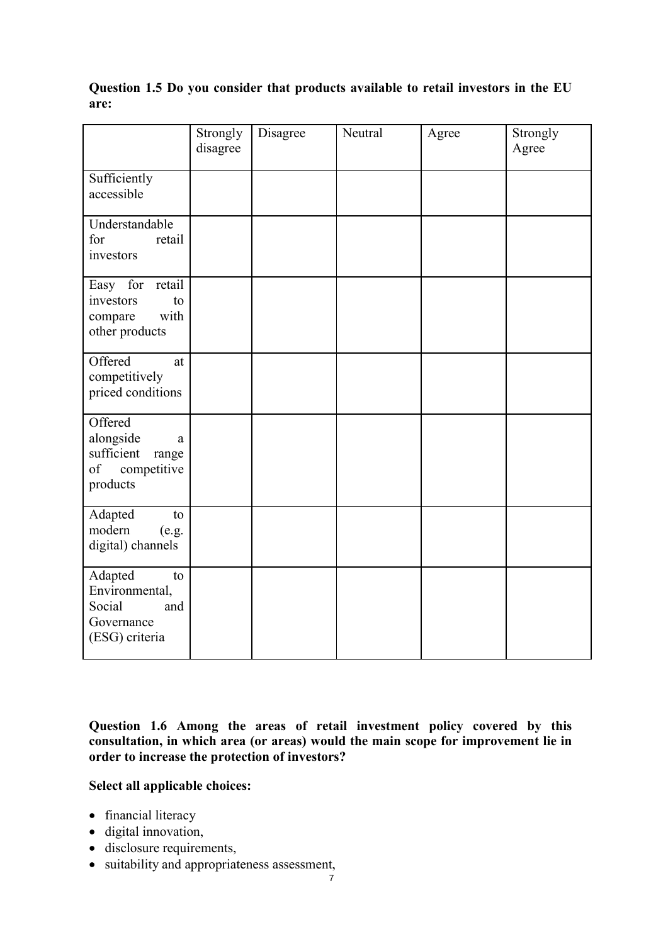|                                                                                   | Strongly<br>disagree | Disagree | Neutral | Agree | Strongly<br>Agree |
|-----------------------------------------------------------------------------------|----------------------|----------|---------|-------|-------------------|
| Sufficiently<br>accessible                                                        |                      |          |         |       |                   |
| Understandable<br>for<br>retail<br>investors                                      |                      |          |         |       |                   |
| Easy for<br>retail<br>investors<br>to<br>with<br>compare<br>other products        |                      |          |         |       |                   |
| Offered<br>at<br>competitively<br>priced conditions                               |                      |          |         |       |                   |
| Offered<br>alongside<br>a<br>sufficient<br>range<br>of<br>competitive<br>products |                      |          |         |       |                   |
| Adapted<br>to<br>modern<br>(e.g.<br>digital) channels                             |                      |          |         |       |                   |
| Adapted<br>to<br>Environmental,<br>Social<br>and<br>Governance<br>(ESG) criteria  |                      |          |         |       |                   |

**Question 1.5 Do you consider that products available to retail investors in the EU are:** 

**Question 1.6 Among the areas of retail investment policy covered by this consultation, in which area (or areas) would the main scope for improvement lie in order to increase the protection of investors?** 

### **Select all applicable choices:**

- financial literacy
- digital innovation,
- disclosure requirements,
- suitability and appropriateness assessment,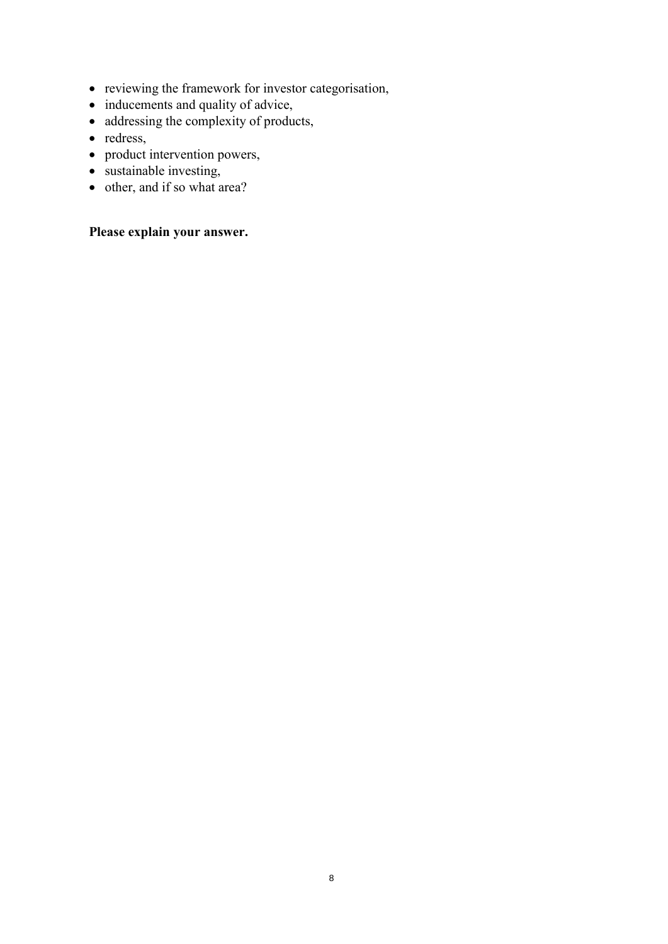- reviewing the framework for investor categorisation,
- inducements and quality of advice,
- addressing the complexity of products,
- redress,
- product intervention powers,
- $\bullet$  sustainable investing,
- other, and if so what area?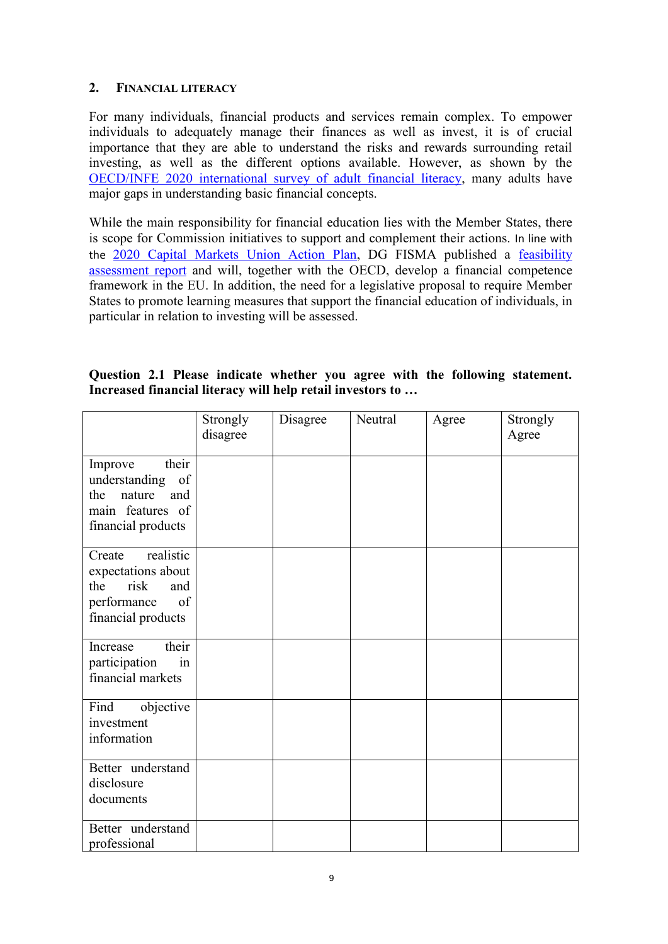### **2. FINANCIAL LITERACY**

For many individuals, financial products and services remain complex. To empower individuals to adequately manage their finances as well as invest, it is of crucial importance that they are able to understand the risks and rewards surrounding retail investing, as well as the different options available. However, as shown by the [OECD/INFE 2020 international survey of adult financial literacy,](https://www.oecd.org/financial/education/oecd-infe-2020-international-survey-of-adult-financial-literacy.pdf) many adults have major gaps in understanding basic financial concepts.

While the main responsibility for financial education lies with the Member States, there is scope for Commission initiatives to support and complement their actions. In line with the [2020 Capital Markets Union Action Plan,](https://eur-lex.europa.eu/legal-content/EN/TXT/?uri=COM:2020:590:FIN) DG FISMA published a [feasibility](https://ec.europa.eu/info/sites/default/files/business_economy_euro/banking_and_finance/documents/210408-report-financial-competence-framework_en.pdf)  [assessment report](https://ec.europa.eu/info/sites/default/files/business_economy_euro/banking_and_finance/documents/210408-report-financial-competence-framework_en.pdf) and will, together with the OECD, develop a financial competence framework in the EU. In addition, the need for a legislative proposal to require Member States to promote learning measures that support the financial education of individuals, in particular in relation to investing will be assessed.

|                                                            |  |  |  |  | Question 2.1 Please indicate whether you agree with the following statement. |
|------------------------------------------------------------|--|--|--|--|------------------------------------------------------------------------------|
| Increased financial literacy will help retail investors to |  |  |  |  |                                                                              |

|                                                                                                            | Strongly<br>disagree | Disagree | Neutral | Agree | Strongly<br>Agree |
|------------------------------------------------------------------------------------------------------------|----------------------|----------|---------|-------|-------------------|
| their<br>Improve<br>understanding<br>of<br>the<br>nature<br>and<br>main features of<br>financial products  |                      |          |         |       |                   |
| realistic<br>Create<br>expectations about<br>risk<br>the<br>and<br>of<br>performance<br>financial products |                      |          |         |       |                   |
| their<br>Increase<br>participation<br>in<br>financial markets                                              |                      |          |         |       |                   |
| Find<br>objective<br>investment<br>information                                                             |                      |          |         |       |                   |
| Better understand<br>disclosure<br>documents                                                               |                      |          |         |       |                   |
| Better understand<br>professional                                                                          |                      |          |         |       |                   |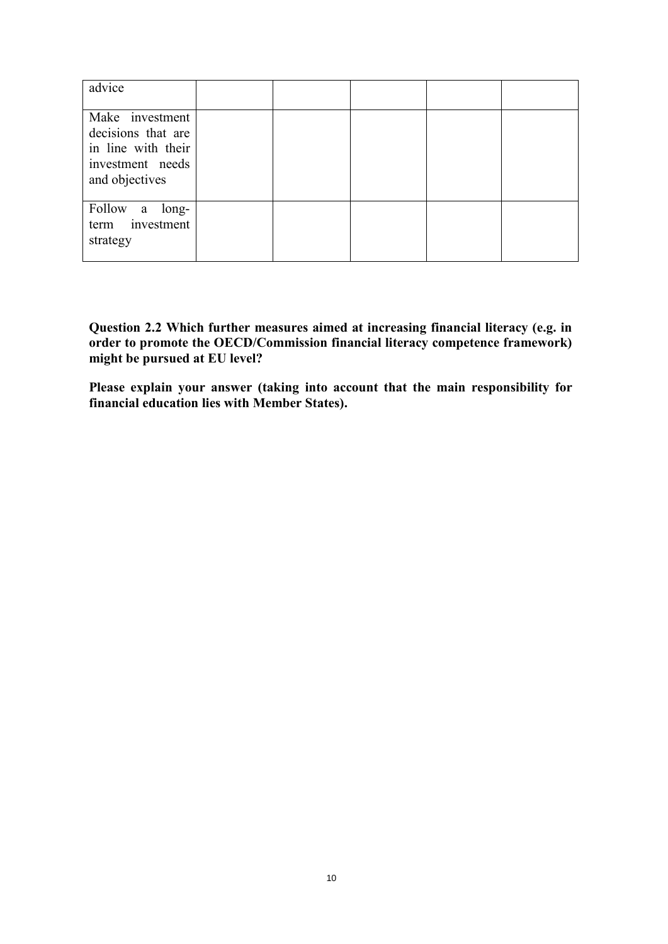| advice                                                                                            |  |  |  |
|---------------------------------------------------------------------------------------------------|--|--|--|
| Make investment<br>decisions that are<br>in line with their<br>investment needs<br>and objectives |  |  |  |
| Follow a long-<br>term investment<br>strategy                                                     |  |  |  |

**Question 2.2 Which further measures aimed at increasing financial literacy (e.g. in order to promote the OECD/Commission financial literacy competence framework) might be pursued at EU level?** 

**Please explain your answer (taking into account that the main responsibility for financial education lies with Member States).**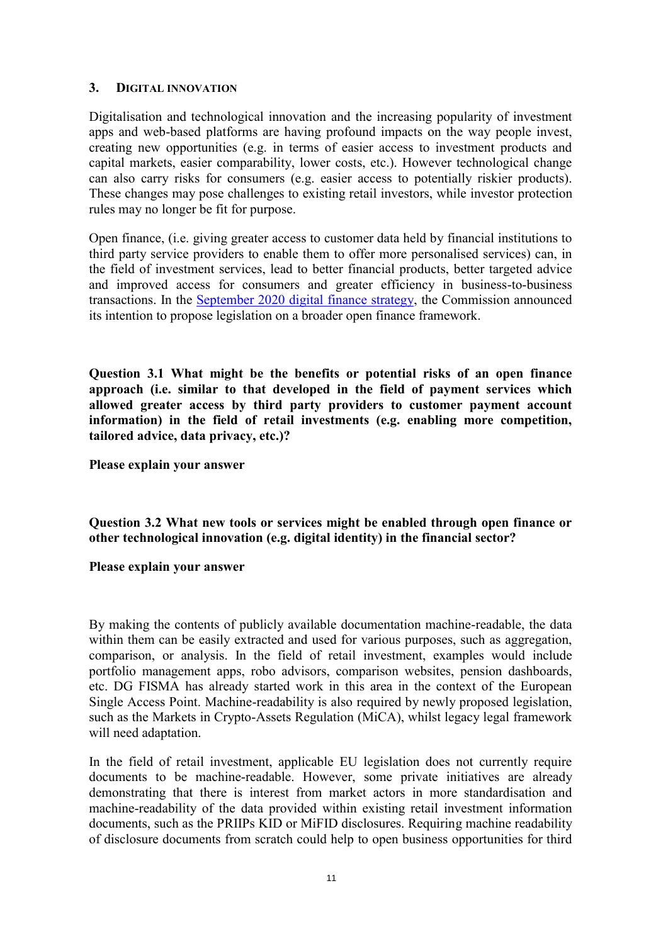#### **3. DIGITAL INNOVATION**

Digitalisation and technological innovation and the increasing popularity of investment apps and web-based platforms are having profound impacts on the way people invest, creating new opportunities (e.g. in terms of easier access to investment products and capital markets, easier comparability, lower costs, etc.). However technological change can also carry risks for consumers (e.g. easier access to potentially riskier products). These changes may pose challenges to existing retail investors, while investor protection rules may no longer be fit for purpose.

Open finance, (i.e. giving greater access to customer data held by financial institutions to third party service providers to enable them to offer more personalised services) can, in the field of investment services, lead to better financial products, better targeted advice and improved access for consumers and greater efficiency in business-to-business transactions. In the [September 2020 digital finance strategy,](https://ec.europa.eu/info/publications/200924-digital-finance-proposals_en) the Commission announced its intention to propose legislation on a broader open finance framework.

**Question 3.1 What might be the benefits or potential risks of an open finance approach (i.e. similar to that developed in the field of payment services which allowed greater access by third party providers to customer payment account information) in the field of retail investments (e.g. enabling more competition, tailored advice, data privacy, etc.)?** 

**Please explain your answer** 

**Question 3.2 What new tools or services might be enabled through open finance or other technological innovation (e.g. digital identity) in the financial sector?** 

#### **Please explain your answer**

By making the contents of publicly available documentation machine-readable, the data within them can be easily extracted and used for various purposes, such as aggregation, comparison, or analysis. In the field of retail investment, examples would include portfolio management apps, robo advisors, comparison websites, pension dashboards, etc. DG FISMA has already started work in this area in the context of the European Single Access Point. Machine-readability is also required by newly proposed legislation, such as the Markets in Crypto-Assets Regulation (MiCA), whilst legacy legal framework will need adaptation.

In the field of retail investment, applicable EU legislation does not currently require documents to be machine-readable. However, some private initiatives are already demonstrating that there is interest from market actors in more standardisation and machine-readability of the data provided within existing retail investment information documents, such as the PRIIPs KID or MiFID disclosures. Requiring machine readability of disclosure documents from scratch could help to open business opportunities for third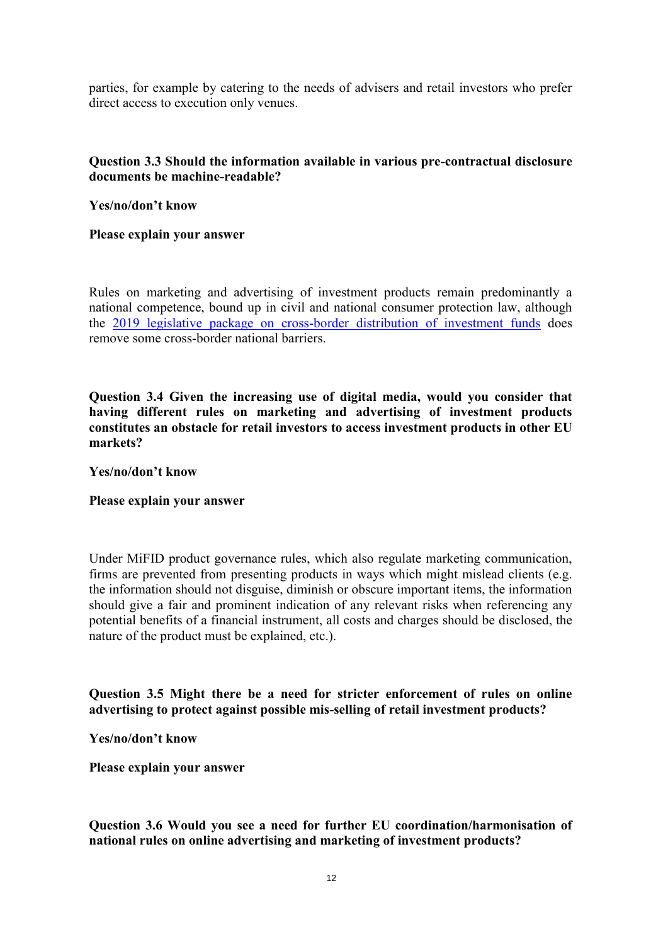parties, for example by catering to the needs of advisers and retail investors who prefer direct access to execution only venues.

### **Question 3.3 Should the information available in various pre-contractual disclosure documents be machine-readable?**

**Yes/no/don't know** 

**Please explain your answer** 

Rules on marketing and advertising of investment products remain predominantly a national competence, bound up in civil and national consumer protection law, although the [2019 legislative package on cross-border distribution of investment funds](https://ec.europa.eu/info/business-economy-euro/growth-and-investment/investment-funds_en#cross-border) does remove some cross-border national barriers.

**Question 3.4 Given the increasing use of digital media, would you consider that having different rules on marketing and advertising of investment products constitutes an obstacle for retail investors to access investment products in other EU markets?** 

**Yes/no/don't know** 

#### **Please explain your answer**

Under MiFID product governance rules, which also regulate marketing communication, firms are prevented from presenting products in ways which might mislead clients (e.g. the information should not disguise, diminish or obscure important items, the information should give a fair and prominent indication of any relevant risks when referencing any potential benefits of a financial instrument, all costs and charges should be disclosed, the nature of the product must be explained, etc.).

**Question 3.5 Might there be a need for stricter enforcement of rules on online advertising to protect against possible mis-selling of retail investment products?** 

**Yes/no/don't know** 

**Please explain your answer** 

**Question 3.6 Would you see a need for further EU coordination/harmonisation of national rules on online advertising and marketing of investment products?**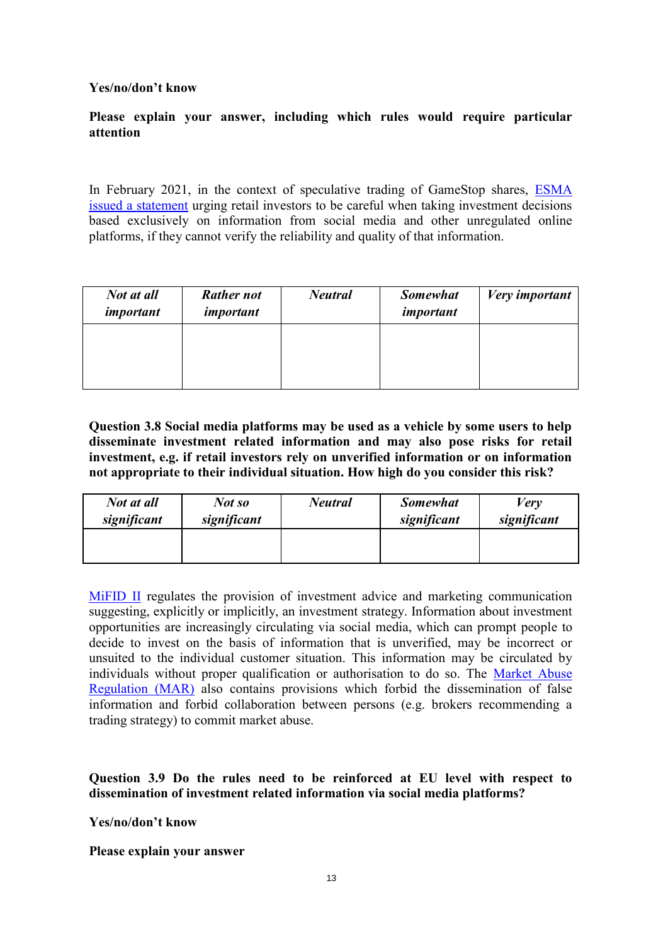### **Yes/no/don't know**

### **Please explain your answer, including which rules would require particular attention**

In February 2021, in the context of speculative trading of GameStop shares, [ESMA](https://www.esma.europa.eu/sites/default/files/library/esma70-155-11809_episodes_of_very_high_volatility_in_trading_of_certain_stocks_0.pdf)  [issued a statement](https://www.esma.europa.eu/sites/default/files/library/esma70-155-11809_episodes_of_very_high_volatility_in_trading_of_certain_stocks_0.pdf) urging retail investors to be careful when taking investment decisions based exclusively on information from social media and other unregulated online platforms, if they cannot verify the reliability and quality of that information.

| Not at all<br>important | <b>Rather not</b><br>important | <b>Neutral</b> | <b>Somewhat</b><br>important | <b>Very</b> important |
|-------------------------|--------------------------------|----------------|------------------------------|-----------------------|
|                         |                                |                |                              |                       |
|                         |                                |                |                              |                       |

**Question 3.8 Social media platforms may be used as a vehicle by some users to help disseminate investment related information and may also pose risks for retail investment, e.g. if retail investors rely on unverified information or on information not appropriate to their individual situation. How high do you consider this risk?** 

| Not at all  | Not so      | <b>Neutral</b> | <b>Somewhat</b> | <b>Very</b> |
|-------------|-------------|----------------|-----------------|-------------|
| significant | significant |                | significant     | significant |
|             |             |                |                 |             |

[MiFID II](https://eur-lex.europa.eu/legal-content/EN/TXT/?uri=CELEX:32014L0065) regulates the provision of investment advice and marketing communication suggesting, explicitly or implicitly, an investment strategy. Information about investment opportunities are increasingly circulating via social media, which can prompt people to decide to invest on the basis of information that is unverified, may be incorrect or unsuited to the individual customer situation. This information may be circulated by individuals without proper qualification or authorisation to do so. The [Market Abuse](https://eur-lex.europa.eu/legal-content/EN/TXT/?uri=CELEX:32014R0596)  [Regulation \(MAR\)](https://eur-lex.europa.eu/legal-content/EN/TXT/?uri=CELEX:32014R0596) also contains provisions which forbid the dissemination of false information and forbid collaboration between persons (e.g. brokers recommending a trading strategy) to commit market abuse.

**Question 3.9 Do the rules need to be reinforced at EU level with respect to dissemination of investment related information via social media platforms?** 

**Yes/no/don't know**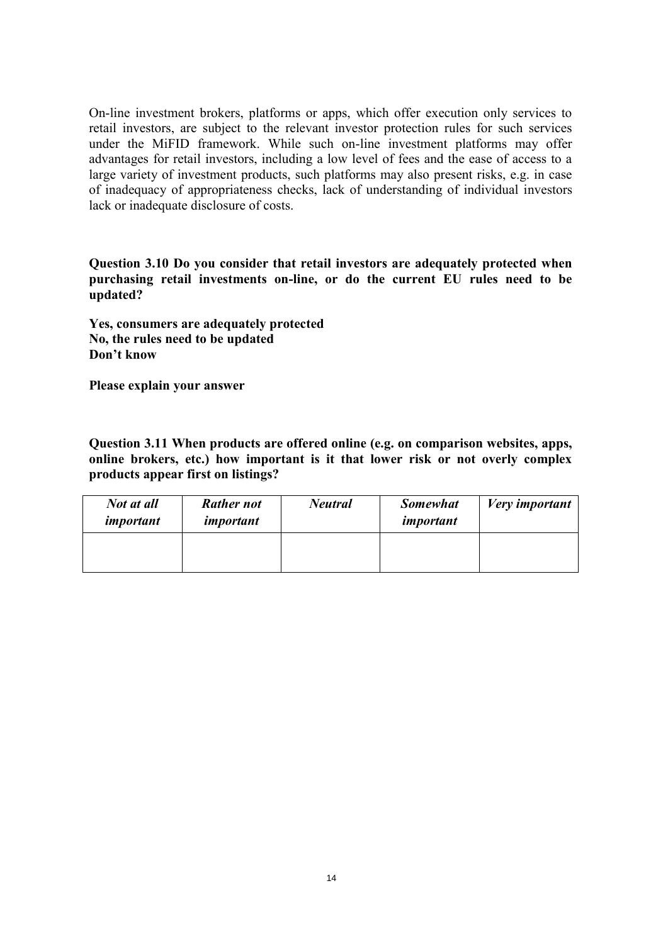On-line investment brokers, platforms or apps, which offer execution only services to retail investors, are subject to the relevant investor protection rules for such services under the MiFID framework. While such on-line investment platforms may offer advantages for retail investors, including a low level of fees and the ease of access to a large variety of investment products, such platforms may also present risks, e.g. in case of inadequacy of appropriateness checks, lack of understanding of individual investors lack or inadequate disclosure of costs.

**Question 3.10 Do you consider that retail investors are adequately protected when purchasing retail investments on-line, or do the current EU rules need to be updated?** 

**Yes, consumers are adequately protected No, the rules need to be updated Don't know** 

**Please explain your answer** 

**Question 3.11 When products are offered online (e.g. on comparison websites, apps, online brokers, etc.) how important is it that lower risk or not overly complex products appear first on listings?** 

| Not at all<br>important | <b>Rather not</b><br>important | <b>Neutral</b> | <b>Somewhat</b><br>important | Very important |
|-------------------------|--------------------------------|----------------|------------------------------|----------------|
|                         |                                |                |                              |                |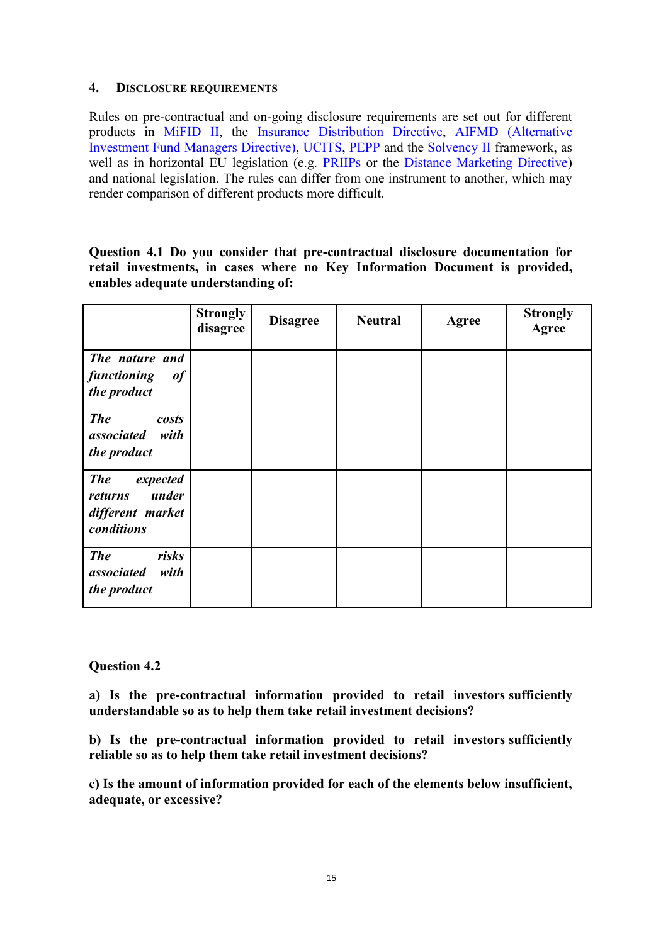#### **4. DISCLOSURE REQUIREMENTS**

Rules on pre-contractual and on-going disclosure requirements are set out for different products in [MiFID II,](https://eur-lex.europa.eu/legal-content/EN/TXT/?uri=CELEX:32014L0065) the [Insurance Distribution Directive,](https://eur-lex.europa.eu/legal-content/EN/TXT/?uri=CELEX:32016L0097) [AIFMD \(Alternative](https://eur-lex.europa.eu/legal-content/EN/TXT/?uri=CELEX:32011L0061)  [Investment Fund Managers Directive\),](https://eur-lex.europa.eu/legal-content/EN/TXT/?uri=CELEX:32011L0061) [UCITS,](https://eur-lex.europa.eu/legal-content/EN/TXT/?uri=CELEX:32009L0065) [PEPP](https://eur-lex.europa.eu/legal-content/EN/TXT/?uri=CELEX:32019R1238) and the [Solvency II](https://eur-lex.europa.eu/legal-content/EN/TXT/?uri=CELEX:32009L0138) framework, as well as in horizontal EU legislation (e.g. [PRIIPs](https://eur-lex.europa.eu/legal-content/EN/TXT/?uri=CELEX:32014R1286) or the [Distance Marketing Directive\)](https://ec.europa.eu/info/business-economy-euro/banking-and-finance/consumer-finance-and-payments/retail-financial-services/distance-marketing-financial-services_en) and national legislation. The rules can differ from one instrument to another, which may render comparison of different products more difficult.

**Question 4.1 Do you consider that pre-contractual disclosure documentation for retail investments, in cases where no Key Information Document is provided, enables adequate understanding of:** 

|                                                                              | <b>Strongly</b><br>disagree | <b>Disagree</b> | <b>Neutral</b> | Agree | <b>Strongly</b><br>Agree |
|------------------------------------------------------------------------------|-----------------------------|-----------------|----------------|-------|--------------------------|
| The nature and<br>functioning<br>of<br>the product                           |                             |                 |                |       |                          |
| <b>The</b><br>costs<br>associated with<br>the product                        |                             |                 |                |       |                          |
| <b>The</b><br>expected<br>under<br>returns<br>different market<br>conditions |                             |                 |                |       |                          |
| <b>The</b><br>risks<br>associated<br>with<br>the product                     |                             |                 |                |       |                          |

### **Question 4.2**

**a) Is the pre-contractual information provided to retail investors sufficiently understandable so as to help them take retail investment decisions?** 

**b) Is the pre-contractual information provided to retail investors sufficiently reliable so as to help them take retail investment decisions?** 

**c) Is the amount of information provided for each of the elements below insufficient, adequate, or excessive?**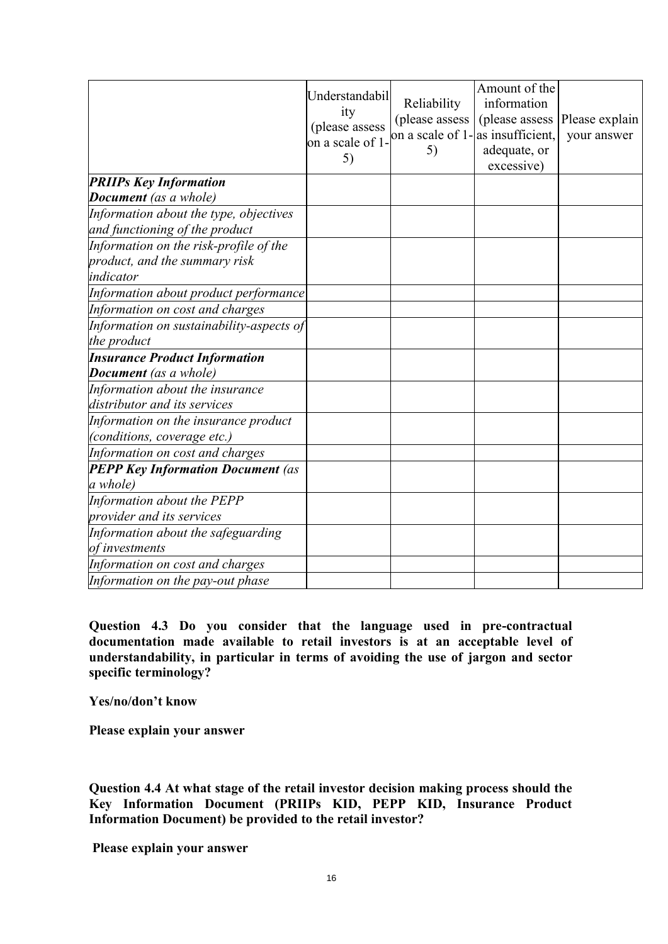|                                          | Understandabil<br>ity<br>(please assess<br>on a scale of 1-<br>5) | Reliability<br>(please assess<br>on a scale of 1-as insufficient.<br>5) | Amount of the<br>information<br>(please assess<br>adequate, or<br>excessive) | Please explain<br>your answer |
|------------------------------------------|-------------------------------------------------------------------|-------------------------------------------------------------------------|------------------------------------------------------------------------------|-------------------------------|
| <b>PRIIPs Key Information</b>            |                                                                   |                                                                         |                                                                              |                               |
| <b>Document</b> (as a whole)             |                                                                   |                                                                         |                                                                              |                               |
| Information about the type, objectives   |                                                                   |                                                                         |                                                                              |                               |
| and functioning of the product           |                                                                   |                                                                         |                                                                              |                               |
| Information on the risk-profile of the   |                                                                   |                                                                         |                                                                              |                               |
| product, and the summary risk            |                                                                   |                                                                         |                                                                              |                               |
| indicator                                |                                                                   |                                                                         |                                                                              |                               |
| Information about product performance    |                                                                   |                                                                         |                                                                              |                               |
| Information on cost and charges          |                                                                   |                                                                         |                                                                              |                               |
| Information on sustainability-aspects of |                                                                   |                                                                         |                                                                              |                               |
| the product                              |                                                                   |                                                                         |                                                                              |                               |
| <b>Insurance Product Information</b>     |                                                                   |                                                                         |                                                                              |                               |
| <b>Document</b> (as a whole)             |                                                                   |                                                                         |                                                                              |                               |
| Information about the insurance          |                                                                   |                                                                         |                                                                              |                               |
| distributor and its services             |                                                                   |                                                                         |                                                                              |                               |
| Information on the insurance product     |                                                                   |                                                                         |                                                                              |                               |
| (conditions, coverage etc.)              |                                                                   |                                                                         |                                                                              |                               |
| Information on cost and charges          |                                                                   |                                                                         |                                                                              |                               |
| <b>PEPP Key Information Document (as</b> |                                                                   |                                                                         |                                                                              |                               |
| a whole)                                 |                                                                   |                                                                         |                                                                              |                               |
| Information about the PEPP               |                                                                   |                                                                         |                                                                              |                               |
| provider and its services                |                                                                   |                                                                         |                                                                              |                               |
| Information about the safeguarding       |                                                                   |                                                                         |                                                                              |                               |
| of investments                           |                                                                   |                                                                         |                                                                              |                               |
| Information on cost and charges          |                                                                   |                                                                         |                                                                              |                               |
| Information on the pay-out phase         |                                                                   |                                                                         |                                                                              |                               |

**Question 4.3 Do you consider that the language used in pre-contractual documentation made available to retail investors is at an acceptable level of understandability, in particular in terms of avoiding the use of jargon and sector specific terminology?** 

**Yes/no/don't know** 

**Please explain your answer** 

**Question 4.4 At what stage of the retail investor decision making process should the Key Information Document (PRIIPs KID, PEPP KID, Insurance Product Information Document) be provided to the retail investor?**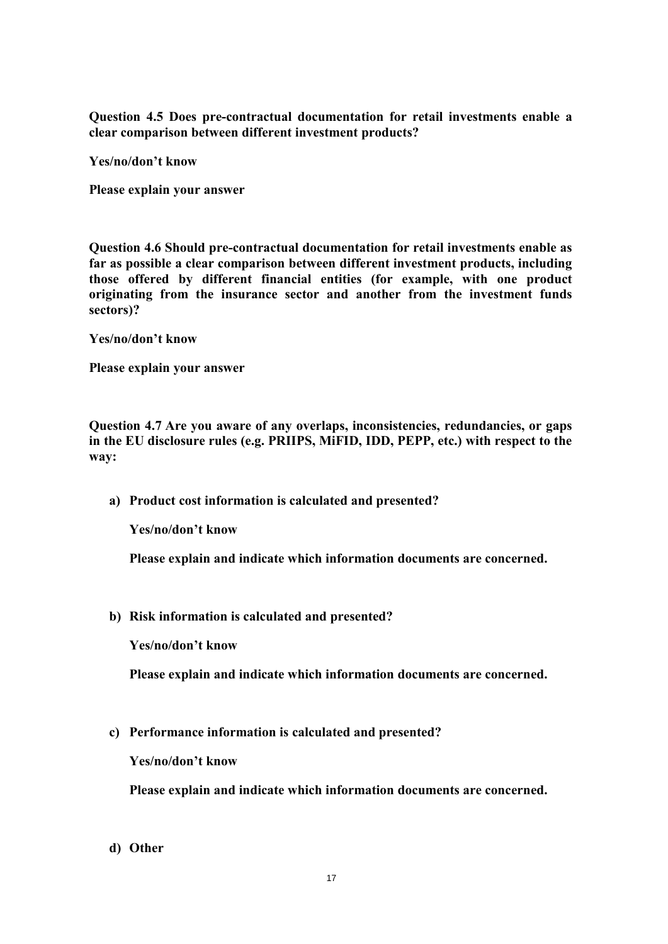**Question 4.5 Does pre-contractual documentation for retail investments enable a clear comparison between different investment products?** 

**Yes/no/don't know** 

**Please explain your answer** 

**Question 4.6 Should pre-contractual documentation for retail investments enable as far as possible a clear comparison between different investment products, including those offered by different financial entities (for example, with one product originating from the insurance sector and another from the investment funds sectors)?** 

**Yes/no/don't know** 

**Please explain your answer** 

**Question 4.7 Are you aware of any overlaps, inconsistencies, redundancies, or gaps in the EU disclosure rules (e.g. PRIIPS, MiFID, IDD, PEPP, etc.) with respect to the way:** 

**a) Product cost information is calculated and presented?**

**Yes/no/don't know** 

**Please explain and indicate which information documents are concerned.** 

**b) Risk information is calculated and presented?** 

**Yes/no/don't know** 

**Please explain and indicate which information documents are concerned.** 

**c) Performance information is calculated and presented?** 

**Yes/no/don't know** 

**Please explain and indicate which information documents are concerned.** 

**d) Other**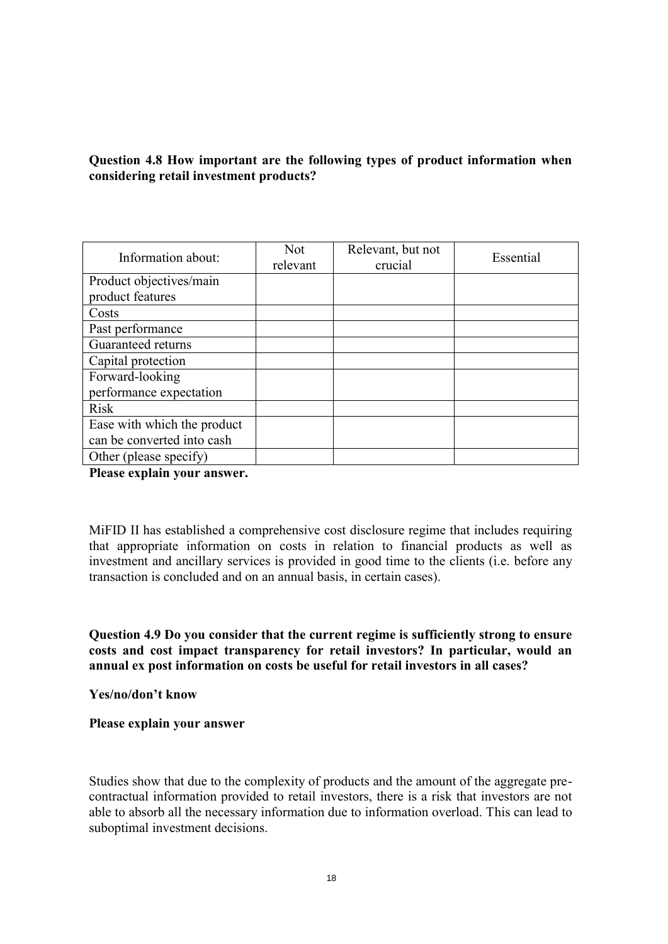# **Question 4.8 How important are the following types of product information when considering retail investment products?**

| Information about:          | Not.<br>relevant | Relevant, but not<br>crucial | Essential |
|-----------------------------|------------------|------------------------------|-----------|
| Product objectives/main     |                  |                              |           |
| product features            |                  |                              |           |
| Costs                       |                  |                              |           |
| Past performance            |                  |                              |           |
| Guaranteed returns          |                  |                              |           |
| Capital protection          |                  |                              |           |
| Forward-looking             |                  |                              |           |
| performance expectation     |                  |                              |           |
| <b>Risk</b>                 |                  |                              |           |
| Ease with which the product |                  |                              |           |
| can be converted into cash  |                  |                              |           |
| Other (please specify)      |                  |                              |           |

**Please explain your answer.** 

MiFID II has established a comprehensive cost disclosure regime that includes requiring that appropriate information on costs in relation to financial products as well as investment and ancillary services is provided in good time to the clients (i.e. before any transaction is concluded and on an annual basis, in certain cases).

**Question 4.9 Do you consider that the current regime is sufficiently strong to ensure costs and cost impact transparency for retail investors? In particular, would an annual ex post information on costs be useful for retail investors in all cases?** 

**Yes/no/don't know** 

#### **Please explain your answer**

Studies show that due to the complexity of products and the amount of the aggregate precontractual information provided to retail investors, there is a risk that investors are not able to absorb all the necessary information due to information overload. This can lead to suboptimal investment decisions.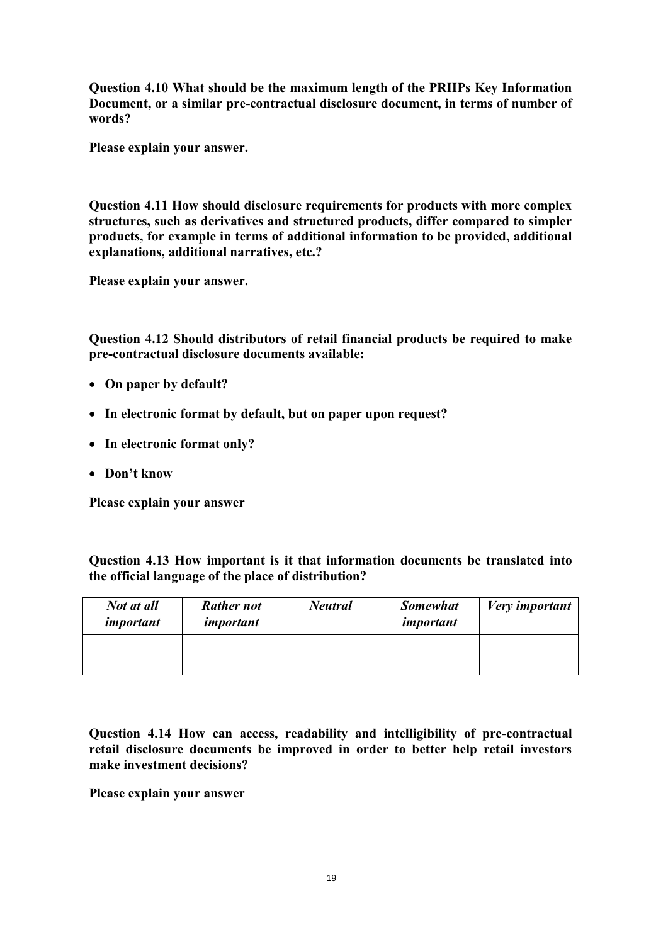**Question 4.10 What should be the maximum length of the PRIIPs Key Information Document, or a similar pre-contractual disclosure document, in terms of number of words?** 

**Please explain your answer.** 

**Question 4.11 How should disclosure requirements for products with more complex structures, such as derivatives and structured products, differ compared to simpler products, for example in terms of additional information to be provided, additional explanations, additional narratives, etc.?** 

**Please explain your answer.** 

**Question 4.12 Should distributors of retail financial products be required to make pre-contractual disclosure documents available:** 

- **On paper by default?**
- **In electronic format by default, but on paper upon request?**
- **In electronic format only?**
- **Don't know**

**Please explain your answer** 

**Question 4.13 How important is it that information documents be translated into the official language of the place of distribution?** 

| Not at all<br>important | <b>Rather not</b><br>important | <b>Neutral</b> | <b>Somewhat</b><br>important | Very important |
|-------------------------|--------------------------------|----------------|------------------------------|----------------|
|                         |                                |                |                              |                |

**Question 4.14 How can access, readability and intelligibility of pre-contractual retail disclosure documents be improved in order to better help retail investors make investment decisions?**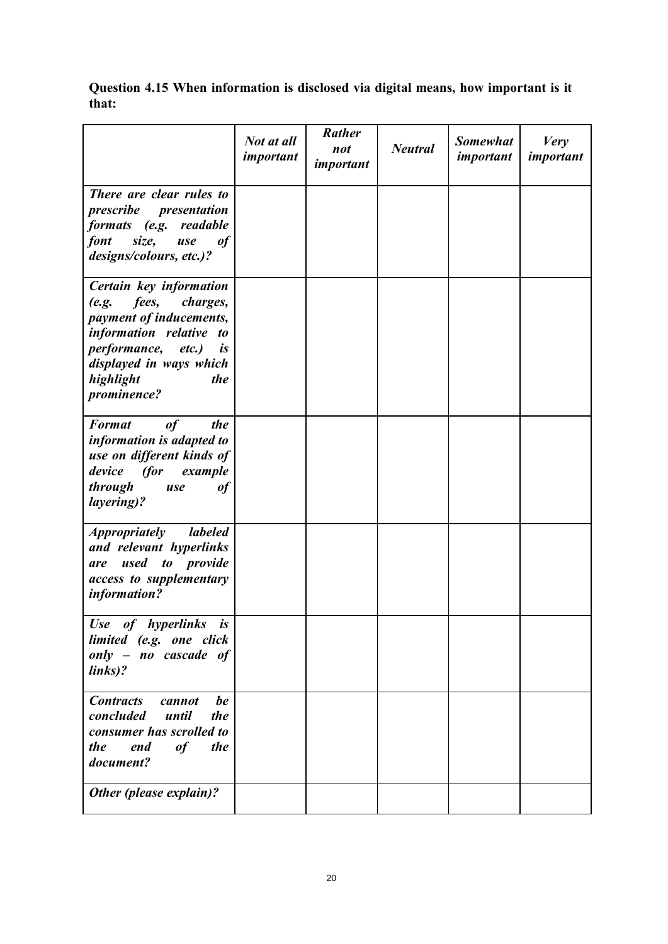**Question 4.15 When information is disclosed via digital means, how important is it that:** 

|                                                                                                                                                                                                                                     | Not at all<br>important | Rather<br>not<br>important | <b>Neutral</b> | <b>Somewhat</b><br>important | <b>Very</b><br>important |
|-------------------------------------------------------------------------------------------------------------------------------------------------------------------------------------------------------------------------------------|-------------------------|----------------------------|----------------|------------------------------|--------------------------|
| There are clear rules to<br>prescribe presentation<br>formats (e.g. readable<br>size,<br>font<br>of<br>use<br>designs/colours, etc.)?                                                                                               |                         |                            |                |                              |                          |
| Certain key information<br>fees,<br>charges,<br>(e.g.<br>payment of inducements,<br>information relative to<br><i>performance, etc.)</i><br>$\boldsymbol{i}$ s<br>displayed in ways which<br>highlight<br>the<br><i>prominence?</i> |                         |                            |                |                              |                          |
| of<br><b>Format</b><br>the<br>information is adapted to<br>use on different kinds of<br>device (for<br>example<br>through<br>of<br>use<br><i>layering</i> )?                                                                        |                         |                            |                |                              |                          |
| <i><b>Appropriately</b></i><br>labeled<br>and relevant hyperlinks<br>used to provide<br>are<br>access to supplementary<br>information?                                                                                              |                         |                            |                |                              |                          |
| Use of hyperlinks is<br>limited (e.g. one click<br>only - no cascade of<br>links)?                                                                                                                                                  |                         |                            |                |                              |                          |
| <b>Contracts</b><br>be<br>cannot<br>concluded<br>until<br>the<br>consumer has scrolled to<br><i>the</i><br>end<br>of<br>the<br>document?                                                                                            |                         |                            |                |                              |                          |
| Other (please explain)?                                                                                                                                                                                                             |                         |                            |                |                              |                          |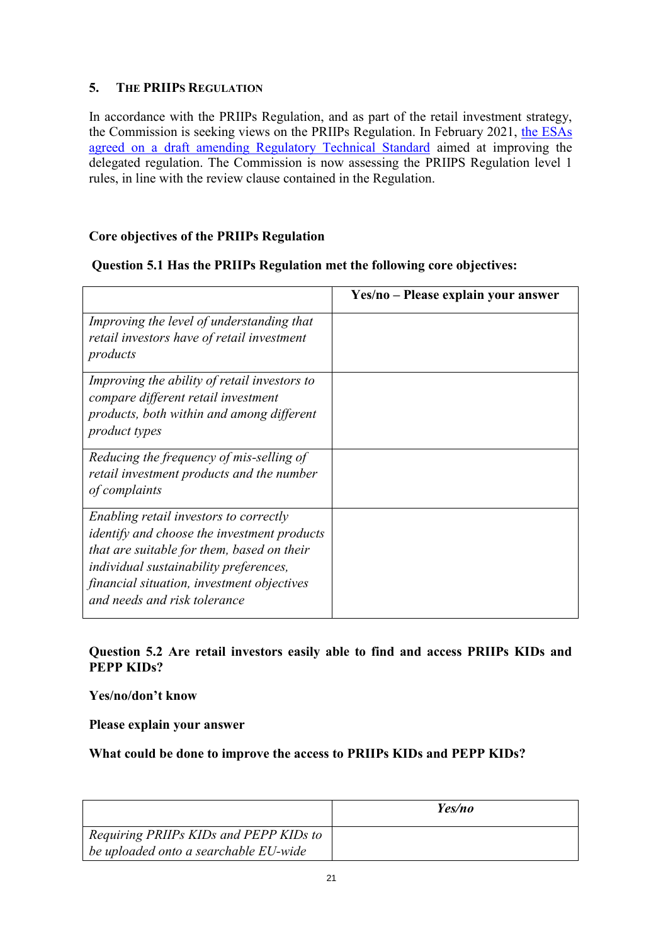# **5. THE PRIIPS REGULATION**

In accordance with the PRIIPs Regulation, and as part of the retail investment strategy, the Commission is seeking views on the PRIIPs Regulation. In February 2021, [the ESAs](https://www.esma.europa.eu/sites/default/files/library/jc_2021_13_letter_to_the_european_commission_priips.pdf)  [agreed on a draft amending Regulatory Technical Standard](https://www.esma.europa.eu/sites/default/files/library/jc_2021_13_letter_to_the_european_commission_priips.pdf) aimed at improving the delegated regulation. The Commission is now assessing the PRIIPS Regulation level 1 rules, in line with the review clause contained in the Regulation.

# **Core objectives of the PRIIPs Regulation**

# **Question 5.1 Has the PRIIPs Regulation met the following core objectives:**

|                                                                                                                                                                                                                                                                    | Yes/no – Please explain your answer |
|--------------------------------------------------------------------------------------------------------------------------------------------------------------------------------------------------------------------------------------------------------------------|-------------------------------------|
| Improving the level of understanding that<br>retail investors have of retail investment<br>products                                                                                                                                                                |                                     |
| Improving the ability of retail investors to<br>compare different retail investment<br>products, both within and among different<br><i>product types</i>                                                                                                           |                                     |
| Reducing the frequency of mis-selling of<br>retail investment products and the number<br>of complaints                                                                                                                                                             |                                     |
| Enabling retail investors to correctly<br><i>identify and choose the investment products</i><br>that are suitable for them, based on their<br>individual sustainability preferences,<br>financial situation, investment objectives<br>and needs and risk tolerance |                                     |

# **Question 5.2 Are retail investors easily able to find and access PRIIPs KIDs and PEPP KIDs?**

**Yes/no/don't know** 

**Please explain your answer** 

# **What could be done to improve the access to PRIIPs KIDs and PEPP KIDs?**

|                                        | Yes/no |
|----------------------------------------|--------|
| Requiring PRIIPs KIDs and PEPP KIDs to |        |
| be uploaded onto a searchable EU-wide  |        |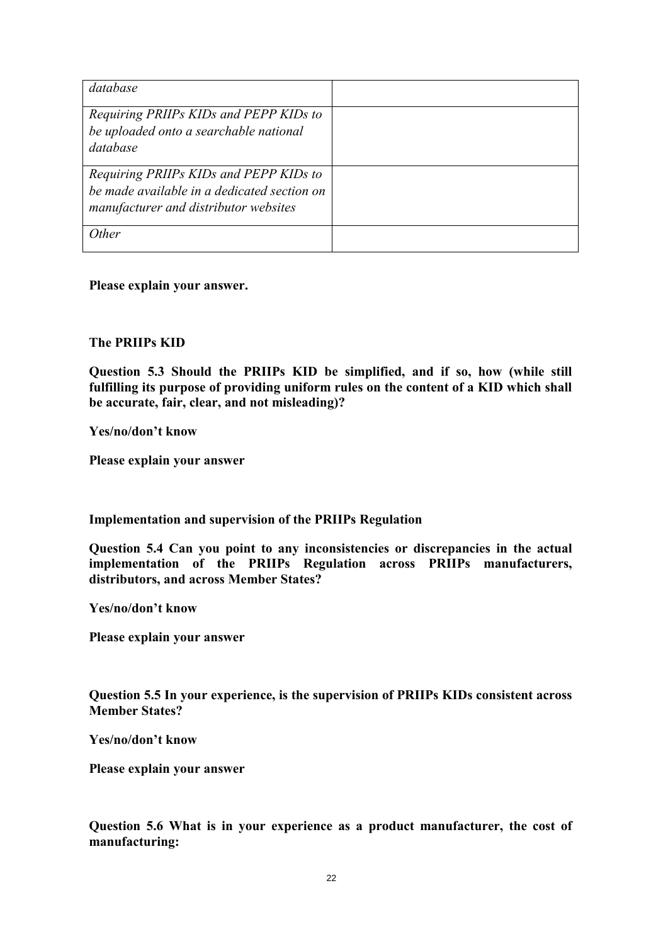| database                                                                                                                       |  |
|--------------------------------------------------------------------------------------------------------------------------------|--|
| Requiring PRIIPs KIDs and PEPP KIDs to<br>be uploaded onto a searchable national<br>database                                   |  |
| Requiring PRIIPs KIDs and PEPP KIDs to<br>be made available in a dedicated section on<br>manufacturer and distributor websites |  |
| Other                                                                                                                          |  |

**Please explain your answer.** 

### **The PRIIPs KID**

**Question 5.3 Should the PRIIPs KID be simplified, and if so, how (while still fulfilling its purpose of providing uniform rules on the content of a KID which shall be accurate, fair, clear, and not misleading)?** 

**Yes/no/don't know** 

**Please explain your answer** 

**Implementation and supervision of the PRIIPs Regulation** 

**Question 5.4 Can you point to any inconsistencies or discrepancies in the actual implementation of the PRIIPs Regulation across PRIIPs manufacturers, distributors, and across Member States?** 

**Yes/no/don't know** 

**Please explain your answer** 

**Question 5.5 In your experience, is the supervision of PRIIPs KIDs consistent across Member States?** 

**Yes/no/don't know** 

**Please explain your answer** 

**Question 5.6 What is in your experience as a product manufacturer, the cost of manufacturing:**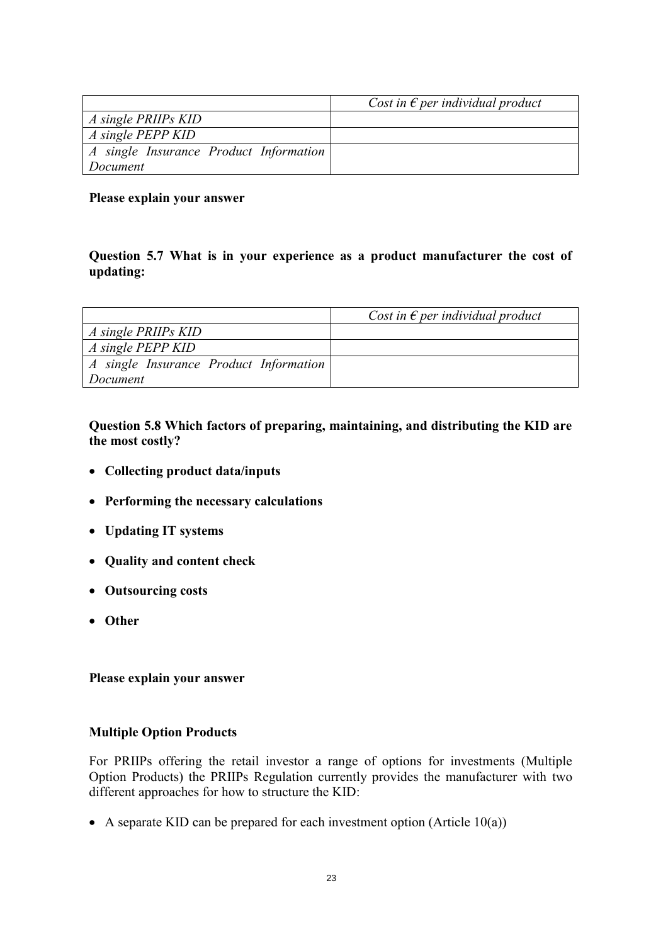|                                        | Cost in $\epsilon$ per individual product |
|----------------------------------------|-------------------------------------------|
| A single PRIIPs KID                    |                                           |
| A single PEPP KID                      |                                           |
| A single Insurance Product Information |                                           |
| Document                               |                                           |

### **Please explain your answer**

## **Question 5.7 What is in your experience as a product manufacturer the cost of updating:**

|                                        | Cost in $\epsilon$ per individual product |
|----------------------------------------|-------------------------------------------|
| $\vert$ A single PRIIPs KID            |                                           |
| $\vert$ A single PEPP KID              |                                           |
| A single Insurance Product Information |                                           |
| Document                               |                                           |

**Question 5.8 Which factors of preparing, maintaining, and distributing the KID are the most costly?** 

- **Collecting product data/inputs**
- **Performing the necessary calculations**
- **Updating IT systems**
- **Quality and content check**
- **Outsourcing costs**
- **Other**

### **Please explain your answer**

### **Multiple Option Products**

For PRIIPs offering the retail investor a range of options for investments (Multiple Option Products) the PRIIPs Regulation currently provides the manufacturer with two different approaches for how to structure the KID:

A separate KID can be prepared for each investment option (Article  $10(a)$ )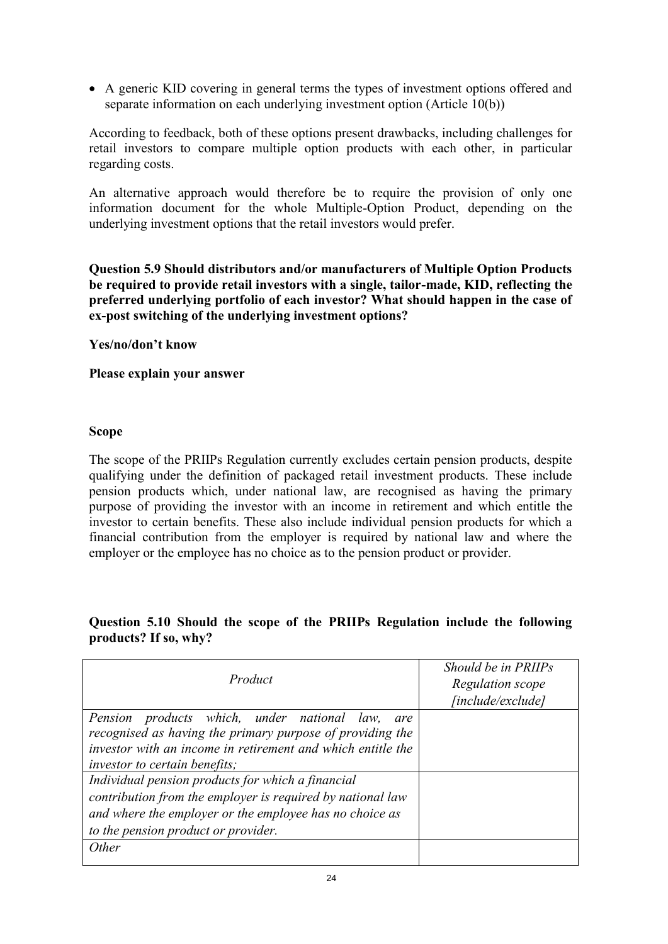A generic KID covering in general terms the types of investment options offered and separate information on each underlying investment option (Article 10(b))

According to feedback, both of these options present drawbacks, including challenges for retail investors to compare multiple option products with each other, in particular regarding costs.

An alternative approach would therefore be to require the provision of only one information document for the whole Multiple-Option Product, depending on the underlying investment options that the retail investors would prefer.

**Question 5.9 Should distributors and/or manufacturers of Multiple Option Products be required to provide retail investors with a single, tailor-made, KID, reflecting the preferred underlying portfolio of each investor? What should happen in the case of ex-post switching of the underlying investment options?** 

**Yes/no/don't know** 

**Please explain your answer** 

### **Scope**

The scope of the PRIIPs Regulation currently excludes certain pension products, despite qualifying under the definition of packaged retail investment products. These include pension products which, under national law, are recognised as having the primary purpose of providing the investor with an income in retirement and which entitle the investor to certain benefits. These also include individual pension products for which a financial contribution from the employer is required by national law and where the employer or the employee has no choice as to the pension product or provider.

### **Question 5.10 Should the scope of the PRIIPs Regulation include the following products? If so, why?**

| Product                                                     | Should be in PRIIPs |
|-------------------------------------------------------------|---------------------|
|                                                             | Regulation scope    |
|                                                             | [include/exclude]   |
| Pension products which, under national law,<br>are          |                     |
| recognised as having the primary purpose of providing the   |                     |
| investor with an income in retirement and which entitle the |                     |
| <i>investor to certain benefits;</i>                        |                     |
| Individual pension products for which a financial           |                     |
| contribution from the employer is required by national law  |                     |
| and where the employer or the employee has no choice as     |                     |
| to the pension product or provider.                         |                     |
| <i>Other</i>                                                |                     |
|                                                             |                     |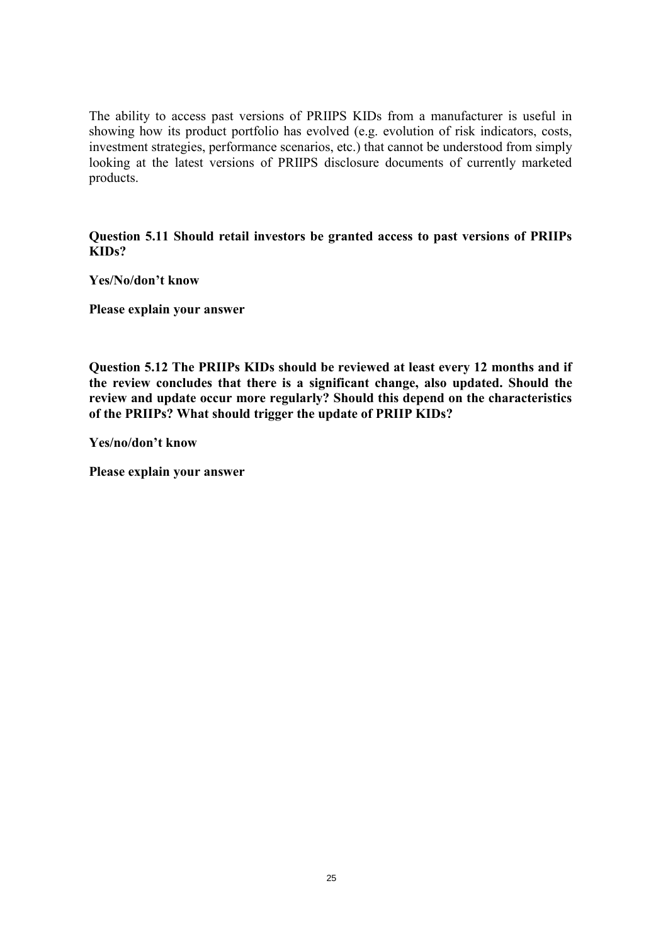The ability to access past versions of PRIIPS KIDs from a manufacturer is useful in showing how its product portfolio has evolved (e.g. evolution of risk indicators, costs, investment strategies, performance scenarios, etc.) that cannot be understood from simply looking at the latest versions of PRIIPS disclosure documents of currently marketed products.

**Question 5.11 Should retail investors be granted access to past versions of PRIIPs KIDs?** 

**Yes/No/don't know** 

**Please explain your answer** 

**Question 5.12 The PRIIPs KIDs should be reviewed at least every 12 months and if the review concludes that there is a significant change, also updated. Should the review and update occur more regularly? Should this depend on the characteristics of the PRIIPs? What should trigger the update of PRIIP KIDs?** 

**Yes/no/don't know**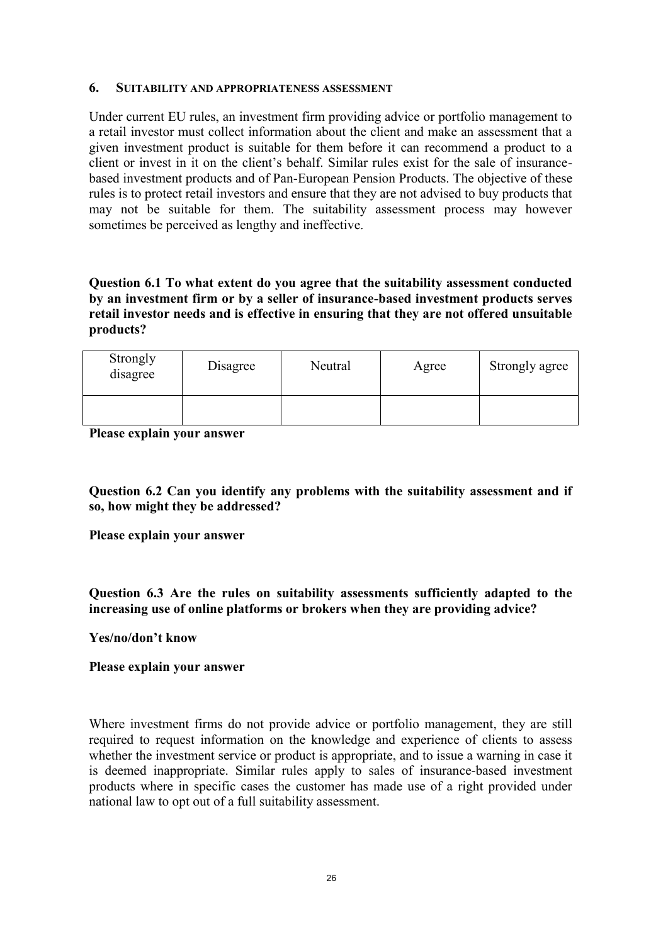#### **6. SUITABILITY AND APPROPRIATENESS ASSESSMENT**

Under current EU rules, an investment firm providing advice or portfolio management to a retail investor must collect information about the client and make an assessment that a given investment product is suitable for them before it can recommend a product to a client or invest in it on the client's behalf. Similar rules exist for the sale of insurancebased investment products and of Pan-European Pension Products. The objective of these rules is to protect retail investors and ensure that they are not advised to buy products that may not be suitable for them. The suitability assessment process may however sometimes be perceived as lengthy and ineffective.

**Question 6.1 To what extent do you agree that the suitability assessment conducted by an investment firm or by a seller of insurance-based investment products serves retail investor needs and is effective in ensuring that they are not offered unsuitable products?** 

| Strongly<br>disagree | Disagree | Neutral | Agree | Strongly agree |
|----------------------|----------|---------|-------|----------------|
|                      |          |         |       |                |

**Please explain your answer** 

**Question 6.2 Can you identify any problems with the suitability assessment and if so, how might they be addressed?** 

**Please explain your answer** 

**Question 6.3 Are the rules on suitability assessments sufficiently adapted to the increasing use of online platforms or brokers when they are providing advice?** 

**Yes/no/don't know** 

### **Please explain your answer**

Where investment firms do not provide advice or portfolio management, they are still required to request information on the knowledge and experience of clients to assess whether the investment service or product is appropriate, and to issue a warning in case it is deemed inappropriate. Similar rules apply to sales of insurance-based investment products where in specific cases the customer has made use of a right provided under national law to opt out of a full suitability assessment.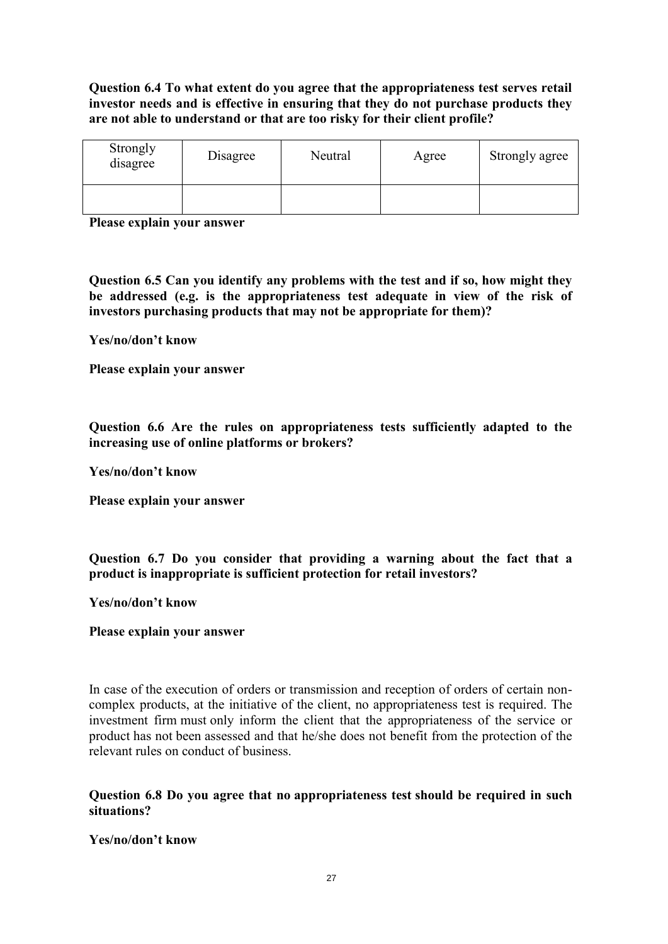# **Question 6.4 To what extent do you agree that the appropriateness test serves retail investor needs and is effective in ensuring that they do not purchase products they are not able to understand or that are too risky for their client profile?**

| Strongly<br>disagree | Disagree | Neutral | Agree | Strongly agree |
|----------------------|----------|---------|-------|----------------|
|                      |          |         |       |                |

**Please explain your answer** 

**Question 6.5 Can you identify any problems with the test and if so, how might they be addressed (e.g. is the appropriateness test adequate in view of the risk of investors purchasing products that may not be appropriate for them)?** 

**Yes/no/don't know** 

**Please explain your answer** 

**Question 6.6 Are the rules on appropriateness tests sufficiently adapted to the increasing use of online platforms or brokers?** 

**Yes/no/don't know** 

**Please explain your answer** 

**Question 6.7 Do you consider that providing a warning about the fact that a product is inappropriate is sufficient protection for retail investors?** 

**Yes/no/don't know** 

**Please explain your answer** 

In case of the execution of orders or transmission and reception of orders of certain noncomplex products, at the initiative of the client, no appropriateness test is required. The investment firm must only inform the client that the appropriateness of the service or product has not been assessed and that he/she does not benefit from the protection of the relevant rules on conduct of business.

**Question 6.8 Do you agree that no appropriateness test should be required in such situations?** 

**Yes/no/don't know**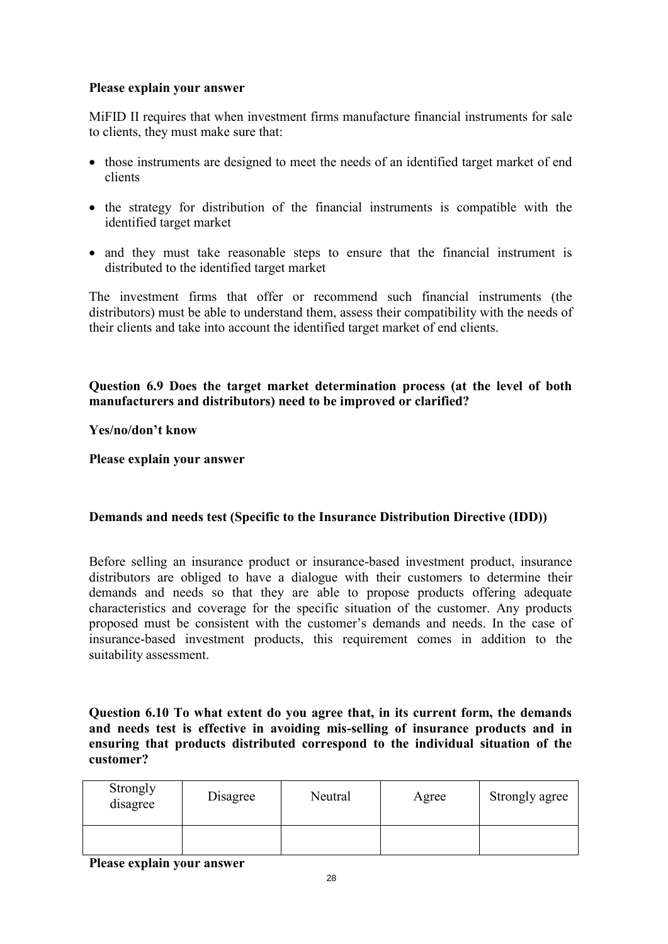### **Please explain your answer**

MiFID II requires that when investment firms manufacture financial instruments for sale to clients, they must make sure that:

- those instruments are designed to meet the needs of an identified target market of end clients
- the strategy for distribution of the financial instruments is compatible with the identified target market
- and they must take reasonable steps to ensure that the financial instrument is distributed to the identified target market

The investment firms that offer or recommend such financial instruments (the distributors) must be able to understand them, assess their compatibility with the needs of their clients and take into account the identified target market of end clients.

**Question 6.9 Does the target market determination process (at the level of both manufacturers and distributors) need to be improved or clarified?** 

**Yes/no/don't know** 

**Please explain your answer** 

# **Demands and needs test (Specific to the Insurance Distribution Directive (IDD))**

Before selling an insurance product or insurance-based investment product, insurance distributors are obliged to have a dialogue with their customers to determine their demands and needs so that they are able to propose products offering adequate characteristics and coverage for the specific situation of the customer. Any products proposed must be consistent with the customer's demands and needs. In the case of insurance-based investment products, this requirement comes in addition to the suitability assessment.

**Question 6.10 To what extent do you agree that, in its current form, the demands and needs test is effective in avoiding mis-selling of insurance products and in ensuring that products distributed correspond to the individual situation of the customer?** 

| Strongly<br>disagree | Disagree | Neutral | Agree | Strongly agree |
|----------------------|----------|---------|-------|----------------|
|                      |          |         |       |                |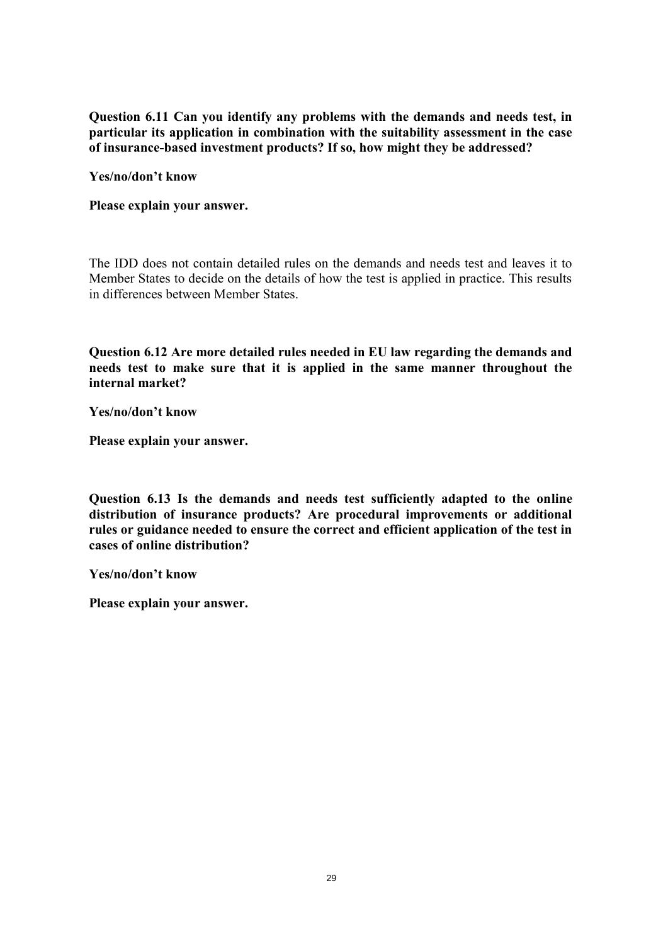**Question 6.11 Can you identify any problems with the demands and needs test, in particular its application in combination with the suitability assessment in the case of insurance-based investment products? If so, how might they be addressed?** 

**Yes/no/don't know** 

**Please explain your answer.** 

The IDD does not contain detailed rules on the demands and needs test and leaves it to Member States to decide on the details of how the test is applied in practice. This results in differences between Member States.

**Question 6.12 Are more detailed rules needed in EU law regarding the demands and needs test to make sure that it is applied in the same manner throughout the internal market?** 

**Yes/no/don't know** 

**Please explain your answer.** 

**Question 6.13 Is the demands and needs test sufficiently adapted to the online distribution of insurance products? Are procedural improvements or additional rules or guidance needed to ensure the correct and efficient application of the test in cases of online distribution?** 

**Yes/no/don't know**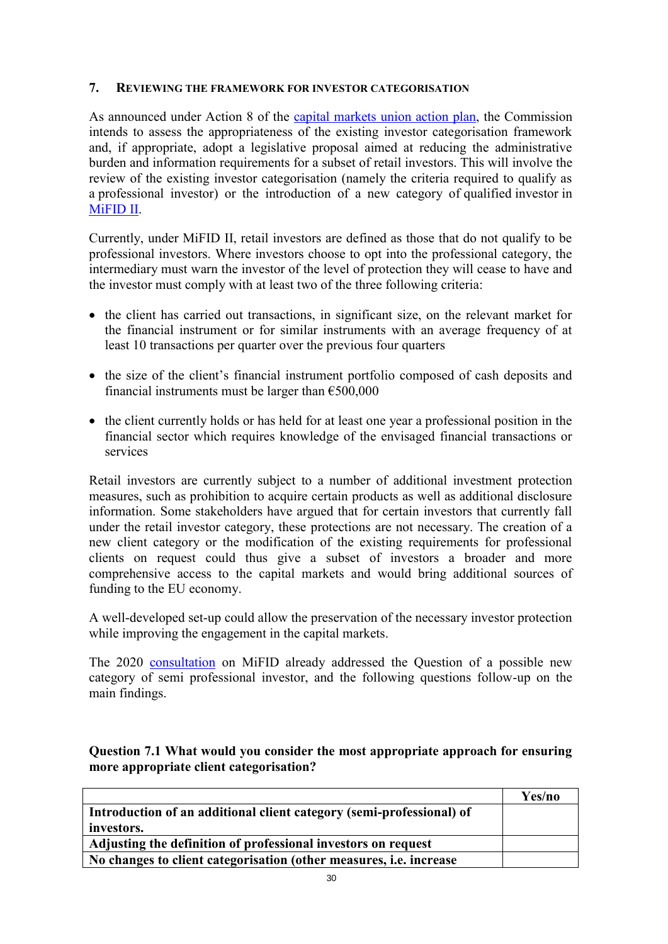### **7. REVIEWING THE FRAMEWORK FOR INVESTOR CATEGORISATION**

As announced under Action 8 of the [capital markets union action plan,](https://ec.europa.eu/info/business-economy-euro/growth-and-investment/capital-markets-union/capital-markets-union-2020-action-plan_en) the Commission intends to assess the appropriateness of the existing investor categorisation framework and, if appropriate, adopt a legislative proposal aimed at reducing the administrative burden and information requirements for a subset of retail investors. This will involve the review of the existing investor categorisation (namely the criteria required to qualify as a professional investor) or the introduction of a new category of qualified investor in [MiFID II.](https://eur-lex.europa.eu/legal-content/EN/TXT/?uri=CELEX:32014L0065)

Currently, under MiFID II, retail investors are defined as those that do not qualify to be professional investors. Where investors choose to opt into the professional category, the intermediary must warn the investor of the level of protection they will cease to have and the investor must comply with at least two of the three following criteria:

- the client has carried out transactions, in significant size, on the relevant market for the financial instrument or for similar instruments with an average frequency of at least 10 transactions per quarter over the previous four quarters
- the size of the client's financial instrument portfolio composed of cash deposits and financial instruments must be larger than  $\epsilon$ 500,000
- the client currently holds or has held for at least one year a professional position in the financial sector which requires knowledge of the envisaged financial transactions or services

Retail investors are currently subject to a number of additional investment protection measures, such as prohibition to acquire certain products as well as additional disclosure information. Some stakeholders have argued that for certain investors that currently fall under the retail investor category, these protections are not necessary. The creation of a new client category or the modification of the existing requirements for professional clients on request could thus give a subset of investors a broader and more comprehensive access to the capital markets and would bring additional sources of funding to the EU economy.

A well-developed set-up could allow the preservation of the necessary investor protection while improving the engagement in the capital markets.

The 2020 [consultation](https://ec.europa.eu/info/law/better-regulation/have-your-say/initiatives/12167-Review-of-the-regulatory-framework-for-investment-firms-and-market-operators-MiFID-2-1-/public-consultation) on MiFID already addressed the Question of a possible new category of semi professional investor, and the following questions follow-up on the main findings.

**Question 7.1 What would you consider the most appropriate approach for ensuring more appropriate client categorisation?**

|                                                                           | Yes/no |
|---------------------------------------------------------------------------|--------|
| Introduction of an additional client category (semi-professional) of      |        |
| investors.                                                                |        |
| Adjusting the definition of professional investors on request             |        |
| No changes to client categorisation (other measures, <i>i.e.</i> increase |        |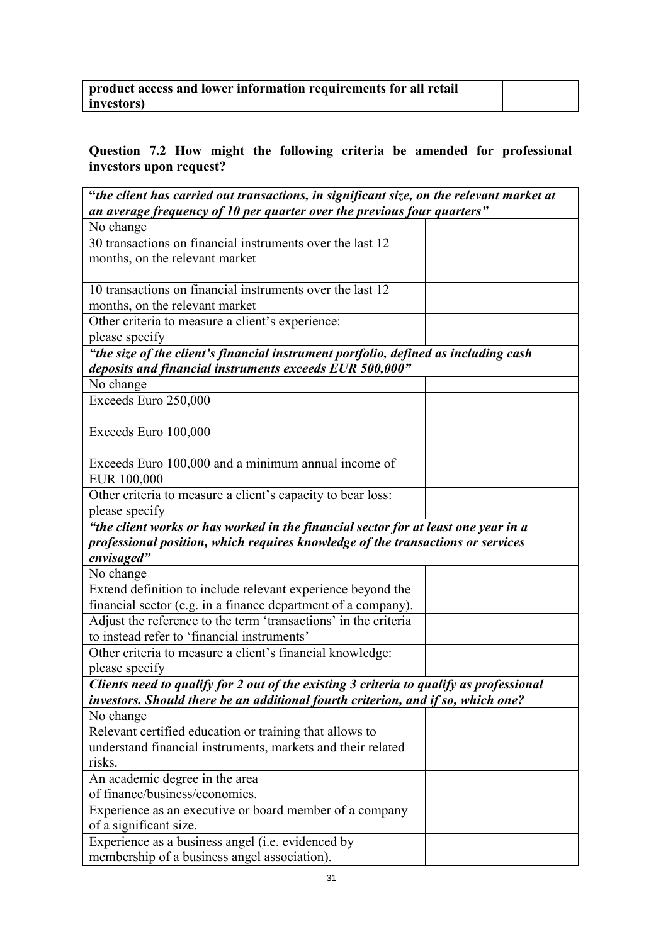| product access and lower information requirements for all retail |  |
|------------------------------------------------------------------|--|
| investors)                                                       |  |

# **Question 7.2 How might the following criteria be amended for professional investors upon request?**

| "the client has carried out transactions, in significant size, on the relevant market at |
|------------------------------------------------------------------------------------------|
| an average frequency of 10 per quarter over the previous four quarters"                  |
| No change                                                                                |
| 30 transactions on financial instruments over the last 12                                |
| months, on the relevant market                                                           |
|                                                                                          |
| 10 transactions on financial instruments over the last 12                                |
| months, on the relevant market                                                           |
| Other criteria to measure a client's experience:                                         |
| please specify                                                                           |
| "the size of the client's financial instrument portfolio, defined as including cash      |
| deposits and financial instruments exceeds EUR 500,000"                                  |
| No change                                                                                |
| Exceeds Euro 250,000                                                                     |
|                                                                                          |
| Exceeds Euro 100,000                                                                     |
|                                                                                          |
| Exceeds Euro 100,000 and a minimum annual income of                                      |
| EUR 100,000                                                                              |
| Other criteria to measure a client's capacity to bear loss:                              |
| please specify                                                                           |
| "the client works or has worked in the financial sector for at least one year in a       |
| professional position, which requires knowledge of the transactions or services          |
| envisaged"                                                                               |
| No change                                                                                |
| Extend definition to include relevant experience beyond the                              |
| financial sector (e.g. in a finance department of a company).                            |
| Adjust the reference to the term 'transactions' in the criteria                          |
| to instead refer to 'financial instruments'                                              |
| Other criteria to measure a client's financial knowledge:                                |
| please specify                                                                           |
| Clients need to qualify for 2 out of the existing 3 criteria to qualify as professional  |
| investors. Should there be an additional fourth criterion, and if so, which one?         |
| No change                                                                                |
| Relevant certified education or training that allows to                                  |
| understand financial instruments, markets and their related                              |
| risks.                                                                                   |
| An academic degree in the area                                                           |
| of finance/business/economics.                                                           |
| Experience as an executive or board member of a company                                  |
| of a significant size.                                                                   |
| Experience as a business angel (i.e. evidenced by                                        |
| membership of a business angel association).                                             |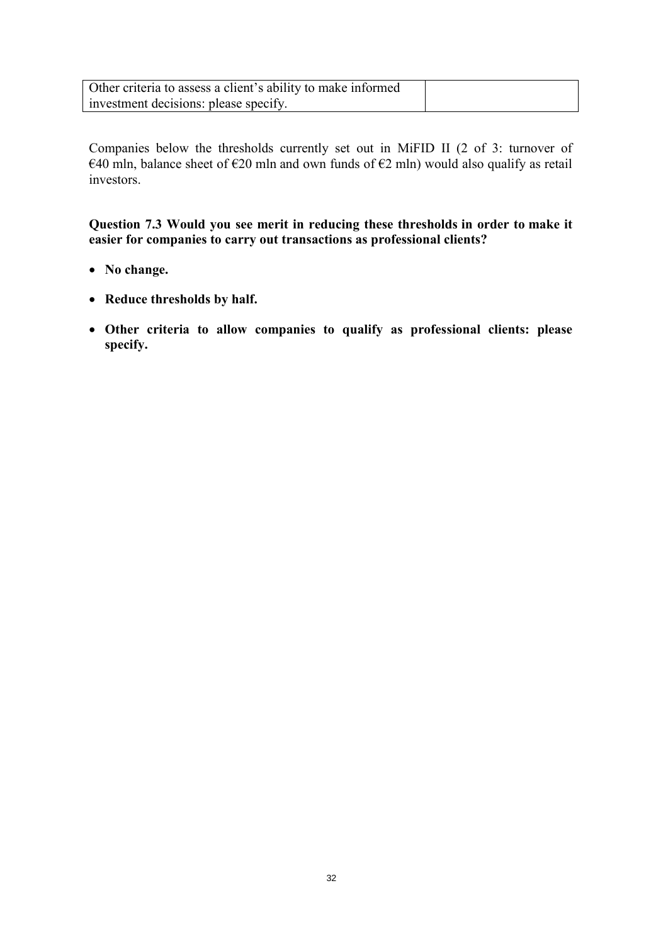| Other criteria to assess a client's ability to make informed |  |
|--------------------------------------------------------------|--|
| investment decisions: please specify.                        |  |

Companies below the thresholds currently set out in MiFID II (2 of 3: turnover of €40 mln, balance sheet of €20 mln and own funds of €2 mln) would also qualify as retail investors.

**Question 7.3 Would you see merit in reducing these thresholds in order to make it easier for companies to carry out transactions as professional clients?** 

- **No change.**
- **Reduce thresholds by half.**
- **Other criteria to allow companies to qualify as professional clients: please specify.**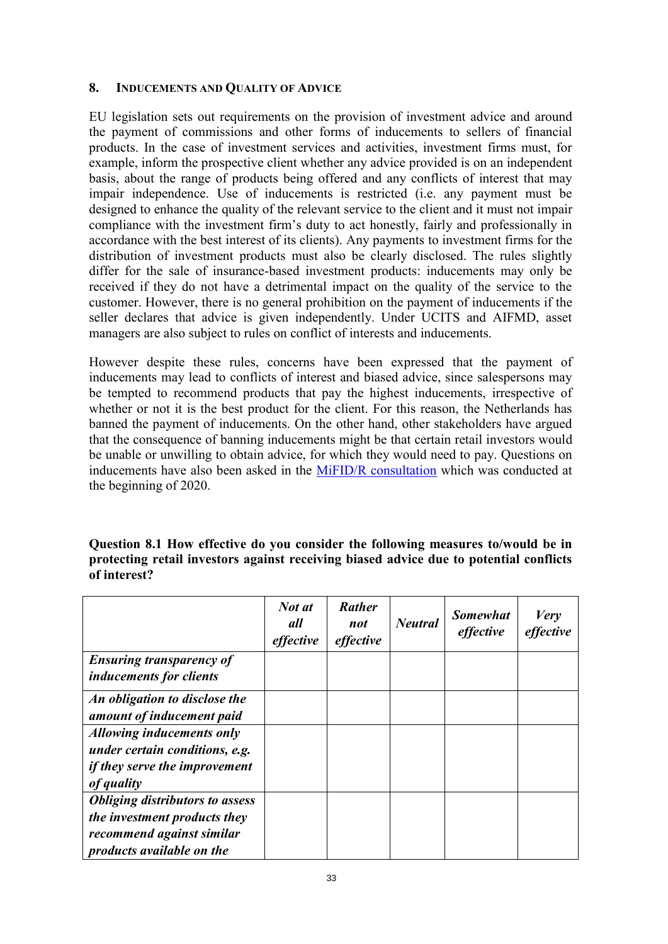#### **8. INDUCEMENTS AND QUALITY OF ADVICE**

EU legislation sets out requirements on the provision of investment advice and around the payment of commissions and other forms of inducements to sellers of financial products. In the case of investment services and activities, investment firms must, for example, inform the prospective client whether any advice provided is on an independent basis, about the range of products being offered and any conflicts of interest that may impair independence. Use of inducements is restricted (i.e. any payment must be designed to enhance the quality of the relevant service to the client and it must not impair compliance with the investment firm's duty to act honestly, fairly and professionally in accordance with the best interest of its clients). Any payments to investment firms for the distribution of investment products must also be clearly disclosed. The rules slightly differ for the sale of insurance-based investment products: inducements may only be received if they do not have a detrimental impact on the quality of the service to the customer. However, there is no general prohibition on the payment of inducements if the seller declares that advice is given independently. Under UCITS and AIFMD, asset managers are also subject to rules on conflict of interests and inducements.

However despite these rules, concerns have been expressed that the payment of inducements may lead to conflicts of interest and biased advice, since salespersons may be tempted to recommend products that pay the highest inducements, irrespective of whether or not it is the best product for the client. For this reason, the Netherlands has banned the payment of inducements. On the other hand, other stakeholders have argued that the consequence of banning inducements might be that certain retail investors would be unable or unwilling to obtain advice, for which they would need to pay. Questions on inducements have also been asked in the [MiFID/R consultation](https://ec.europa.eu/info/publications/finance-consultations-2020-mifid-2-mifir-review_en) which was conducted at the beginning of 2020.

| Question 8.1 How effective do you consider the following measures to/would be in       |  |
|----------------------------------------------------------------------------------------|--|
| protecting retail investors against receiving biased advice due to potential conflicts |  |
| of interest?                                                                           |  |

|                                                                        | Not at<br>all<br>effective | <b>Rather</b><br>not<br>effective | <b>Neutral</b> | <b>Somewhat</b><br>effective | <b>Very</b><br>effective |
|------------------------------------------------------------------------|----------------------------|-----------------------------------|----------------|------------------------------|--------------------------|
| <b>Ensuring transparency of</b><br><i>inducements for clients</i>      |                            |                                   |                |                              |                          |
| An obligation to disclose the                                          |                            |                                   |                |                              |                          |
| amount of inducement paid                                              |                            |                                   |                |                              |                          |
| Allowing inducements only                                              |                            |                                   |                |                              |                          |
| under certain conditions, e.g.<br><i>if they serve the improvement</i> |                            |                                   |                |                              |                          |
| of quality                                                             |                            |                                   |                |                              |                          |
| <b>Obliging distributors to assess</b>                                 |                            |                                   |                |                              |                          |
| the investment products they                                           |                            |                                   |                |                              |                          |
| recommend against similar<br>products available on the                 |                            |                                   |                |                              |                          |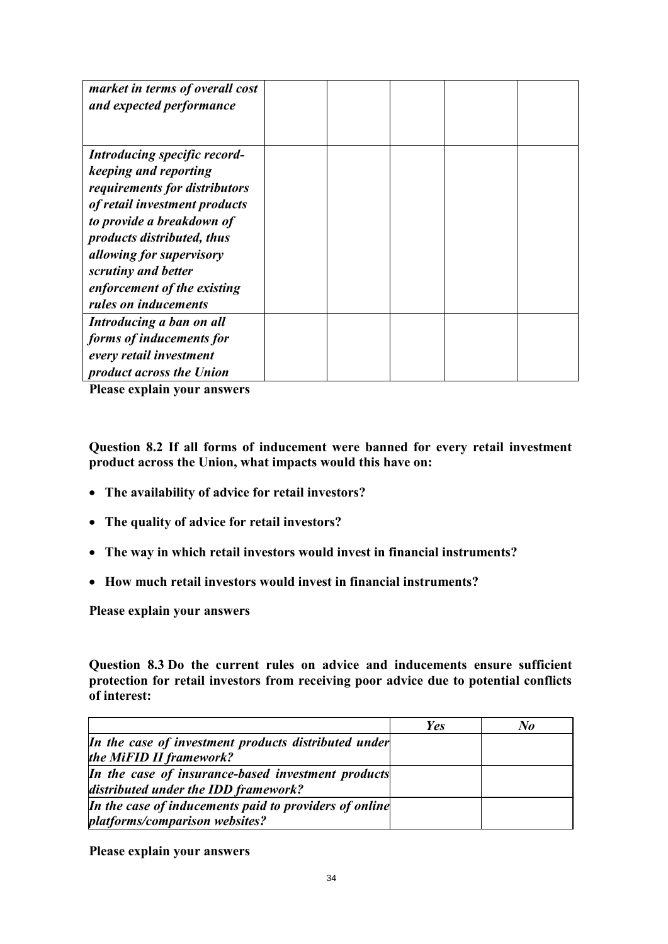| market in terms of overall cost<br>and expected performance |  |  |  |
|-------------------------------------------------------------|--|--|--|
| Introducing specific record-                                |  |  |  |
| keeping and reporting                                       |  |  |  |
| requirements for distributors                               |  |  |  |
| of retail investment products                               |  |  |  |
| to provide a breakdown of                                   |  |  |  |
| products distributed, thus                                  |  |  |  |
| <i>allowing for supervisory</i>                             |  |  |  |
| scrutiny and better                                         |  |  |  |
| enforcement of the existing                                 |  |  |  |
| rules on inducements                                        |  |  |  |
| Introducing a ban on all                                    |  |  |  |
| forms of inducements for                                    |  |  |  |
| every retail investment                                     |  |  |  |
| <i>product across the Union</i>                             |  |  |  |

**Please explain your answers** 

**Question 8.2 If all forms of inducement were banned for every retail investment product across the Union, what impacts would this have on:** 

- **The availability of advice for retail investors?**
- **The quality of advice for retail investors?**
- **The way in which retail investors would invest in financial instruments?**
- **How much retail investors would invest in financial instruments?**

**Please explain your answers** 

**Question 8.3 Do the current rules on advice and inducements ensure sufficient protection for retail investors from receiving poor advice due to potential conflicts of interest:** 

|                                                                                            | <b>Yes</b> | $\bf{N}$ o |
|--------------------------------------------------------------------------------------------|------------|------------|
| In the case of investment products distributed under<br>the MiFID II framework?            |            |            |
| In the case of insurance-based investment products<br>distributed under the IDD framework? |            |            |
| In the case of inducements paid to providers of online<br>platforms/comparison websites?   |            |            |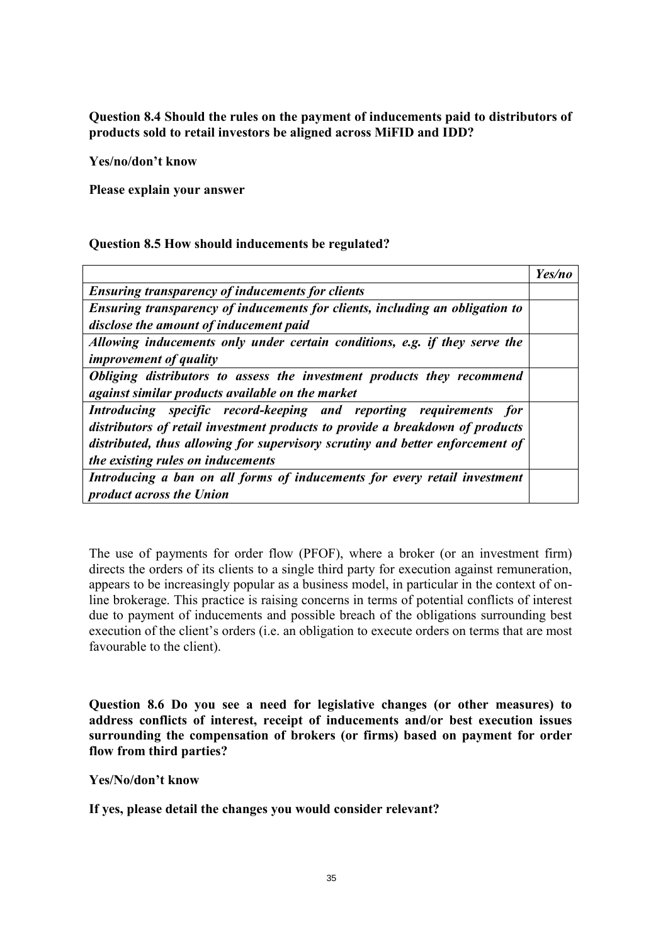**Question 8.4 Should the rules on the payment of inducements paid to distributors of products sold to retail investors be aligned across MiFID and IDD?**

**Yes/no/don't know** 

**Please explain your answer** 

#### **Question 8.5 How should inducements be regulated?**

|                                                                               | Yes/no |
|-------------------------------------------------------------------------------|--------|
| <b>Ensuring transparency of inducements for clients</b>                       |        |
| Ensuring transparency of inducements for clients, including an obligation to  |        |
| disclose the amount of inducement paid                                        |        |
| Allowing inducements only under certain conditions, e.g. if they serve the    |        |
| <i>improvement of quality</i>                                                 |        |
| Obliging distributors to assess the investment products they recommend        |        |
| against similar products available on the market                              |        |
| Introducing specific record-keeping and reporting requirements for            |        |
| distributors of retail investment products to provide a breakdown of products |        |
| distributed, thus allowing for supervisory scrutiny and better enforcement of |        |
| the existing rules on inducements                                             |        |
| Introducing a ban on all forms of inducements for every retail investment     |        |
| <i>product across the Union</i>                                               |        |

The use of payments for order flow (PFOF), where a broker (or an investment firm) directs the orders of its clients to a single third party for execution against remuneration, appears to be increasingly popular as a business model, in particular in the context of online brokerage. This practice is raising concerns in terms of potential conflicts of interest due to payment of inducements and possible breach of the obligations surrounding best execution of the client's orders (i.e. an obligation to execute orders on terms that are most favourable to the client).

**Question 8.6 Do you see a need for legislative changes (or other measures) to address conflicts of interest, receipt of inducements and/or best execution issues surrounding the compensation of brokers (or firms) based on payment for order flow from third parties?** 

**Yes/No/don't know** 

**If yes, please detail the changes you would consider relevant?**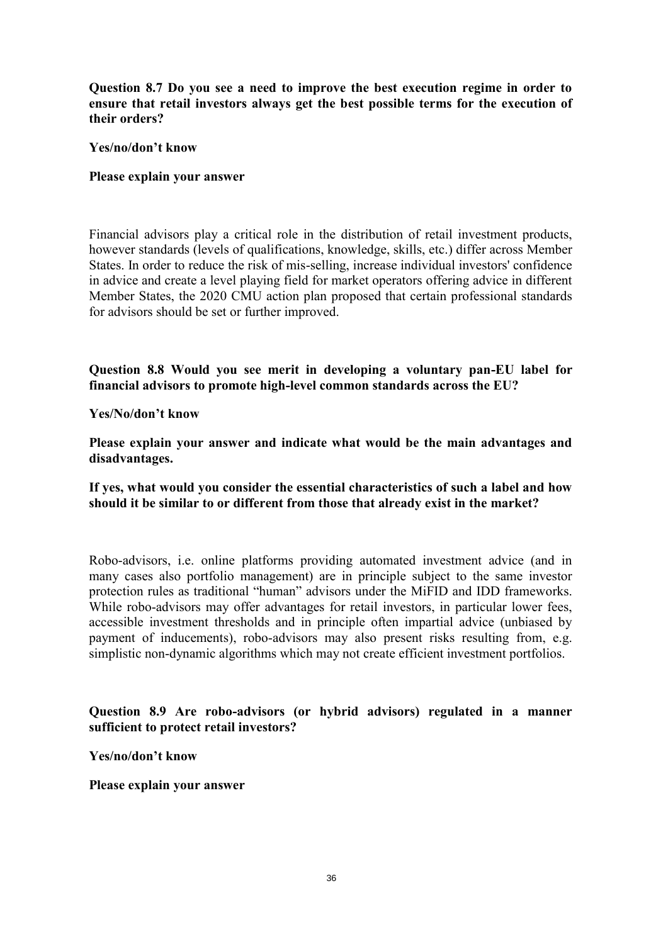**Question 8.7 Do you see a need to improve the best execution regime in order to ensure that retail investors always get the best possible terms for the execution of their orders?** 

#### **Yes/no/don't know**

#### **Please explain your answer**

Financial advisors play a critical role in the distribution of retail investment products, however standards (levels of qualifications, knowledge, skills, etc.) differ across Member States. In order to reduce the risk of mis-selling, increase individual investors' confidence in advice and create a level playing field for market operators offering advice in different Member States, the 2020 CMU action plan proposed that certain professional standards for advisors should be set or further improved.

**Question 8.8 Would you see merit in developing a voluntary pan-EU label for financial advisors to promote high-level common standards across the EU?** 

**Yes/No/don't know** 

**Please explain your answer and indicate what would be the main advantages and disadvantages.** 

**If yes, what would you consider the essential characteristics of such a label and how should it be similar to or different from those that already exist in the market?** 

Robo-advisors, i.e. online platforms providing automated investment advice (and in many cases also portfolio management) are in principle subject to the same investor protection rules as traditional "human" advisors under the MiFID and IDD frameworks. While robo-advisors may offer advantages for retail investors, in particular lower fees, accessible investment thresholds and in principle often impartial advice (unbiased by payment of inducements), robo-advisors may also present risks resulting from, e.g. simplistic non-dynamic algorithms which may not create efficient investment portfolios.

### **Question 8.9 Are robo-advisors (or hybrid advisors) regulated in a manner sufficient to protect retail investors?**

**Yes/no/don't know**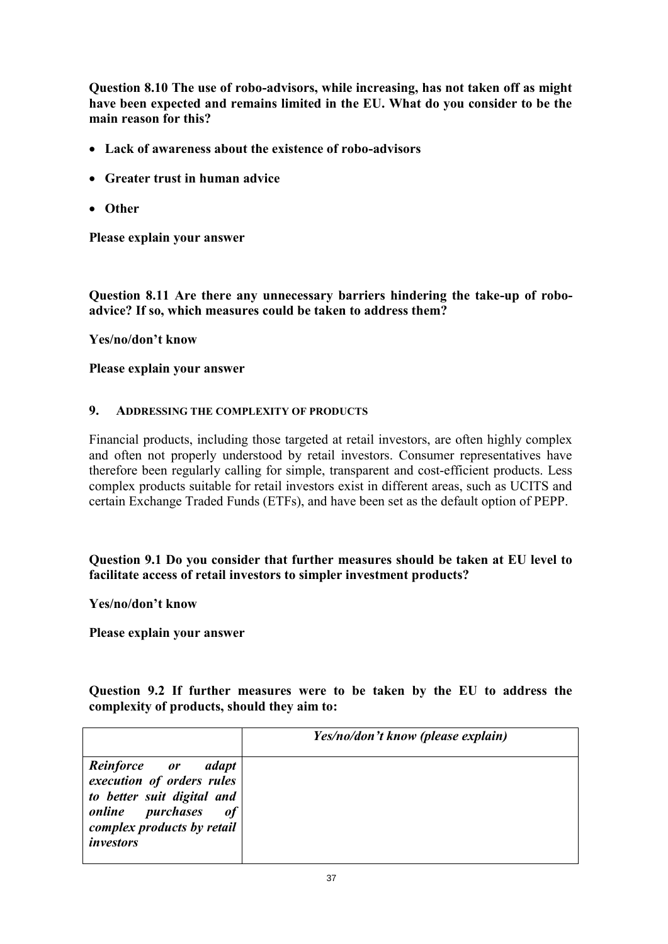**Question 8.10 The use of robo-advisors, while increasing, has not taken off as might have been expected and remains limited in the EU. What do you consider to be the main reason for this?** 

- **Lack of awareness about the existence of robo-advisors**
- **Greater trust in human advice**
- **Other**

**Please explain your answer** 

**Question 8.11 Are there any unnecessary barriers hindering the take-up of roboadvice? If so, which measures could be taken to address them?** 

**Yes/no/don't know** 

**Please explain your answer** 

### **9. ADDRESSING THE COMPLEXITY OF PRODUCTS**

Financial products, including those targeted at retail investors, are often highly complex and often not properly understood by retail investors. Consumer representatives have therefore been regularly calling for simple, transparent and cost-efficient products. Less complex products suitable for retail investors exist in different areas, such as UCITS and certain Exchange Traded Funds (ETFs), and have been set as the default option of PEPP.

**Question 9.1 Do you consider that further measures should be taken at EU level to facilitate access of retail investors to simpler investment products?** 

**Yes/no/don't know** 

**Please explain your answer** 

**Question 9.2 If further measures were to be taken by the EU to address the complexity of products, should they aim to:**

|                                                                                                                                                           | Yes/no/don't know (please explain) |
|-----------------------------------------------------------------------------------------------------------------------------------------------------------|------------------------------------|
| Reinforce or adapt<br>execution of orders rules<br>to better suit digital and<br><i>online purchases</i><br>of<br>complex products by retail<br>investors |                                    |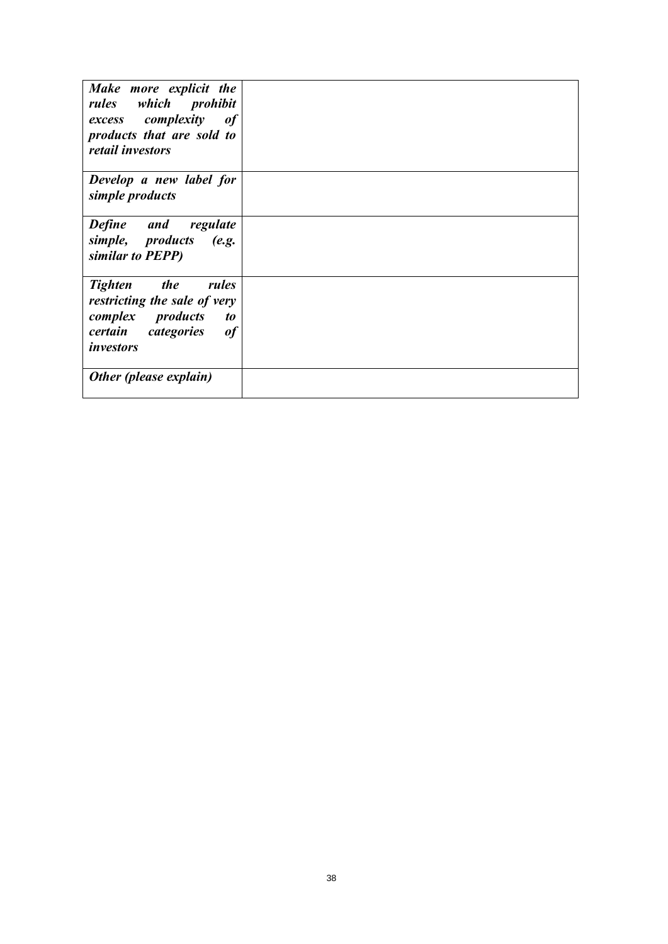| Make more explicit the<br>rules which prohibit<br>excess complexity of<br>products that are sold to<br>retail investors                  |  |
|------------------------------------------------------------------------------------------------------------------------------------------|--|
| Develop a new label for<br>simple products                                                                                               |  |
| <b>Define</b> and<br>regulate<br>simple, products (e.g.<br>similar to PEPP)                                                              |  |
| <i>the</i><br><b>Tighten</b><br>rules<br>restricting the sale of very<br>complex products<br>to<br>certain categories<br>of<br>investors |  |
| Other (please explain)                                                                                                                   |  |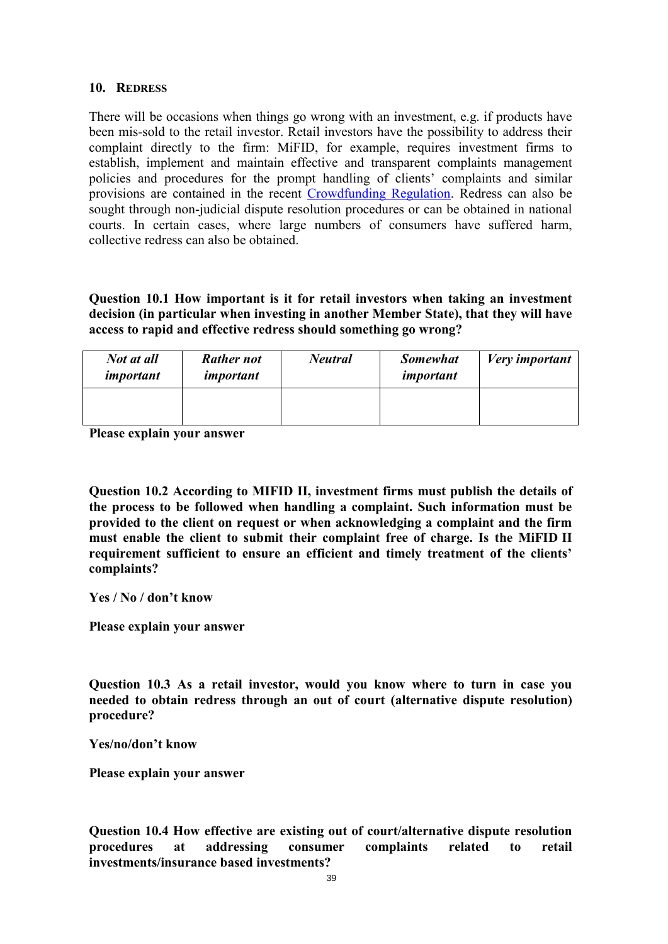#### **10. REDRESS**

There will be occasions when things go wrong with an investment, e.g. if products have been mis-sold to the retail investor. Retail investors have the possibility to address their complaint directly to the firm: MiFID, for example, requires investment firms to establish, implement and maintain effective and transparent complaints management policies and procedures for the prompt handling of clients' complaints and similar provisions are contained in the recent [Crowdfunding Regulation.](https://eur-lex.europa.eu/legal-content/EN/TXT/?uri=CELEX:32020R1503) Redress can also be sought through non-judicial dispute resolution procedures or can be obtained in national courts. In certain cases, where large numbers of consumers have suffered harm, collective redress can also be obtained.

**Question 10.1 How important is it for retail investors when taking an investment decision (in particular when investing in another Member State), that they will have access to rapid and effective redress should something go wrong?** 

| Not at all<br>important | <b>Rather not</b><br>important | <b>Neutral</b> | <b>Somewhat</b><br>important | <b>Very</b> important |
|-------------------------|--------------------------------|----------------|------------------------------|-----------------------|
|                         |                                |                |                              |                       |

**Please explain your answer** 

**Question 10.2 According to MIFID II, investment firms must publish the details of the process to be followed when handling a complaint. Such information must be provided to the client on request or when acknowledging a complaint and the firm must enable the client to submit their complaint free of charge. Is the MiFID II requirement sufficient to ensure an efficient and timely treatment of the clients' complaints?** 

**Yes / No / don't know** 

**Please explain your answer** 

**Question 10.3 As a retail investor, would you know where to turn in case you needed to obtain redress through an out of court (alternative dispute resolution) procedure?** 

**Yes/no/don't know** 

**Please explain your answer** 

**Question 10.4 How effective are existing out of court/alternative dispute resolution procedures at addressing consumer complaints related to retail investments/insurance based investments?**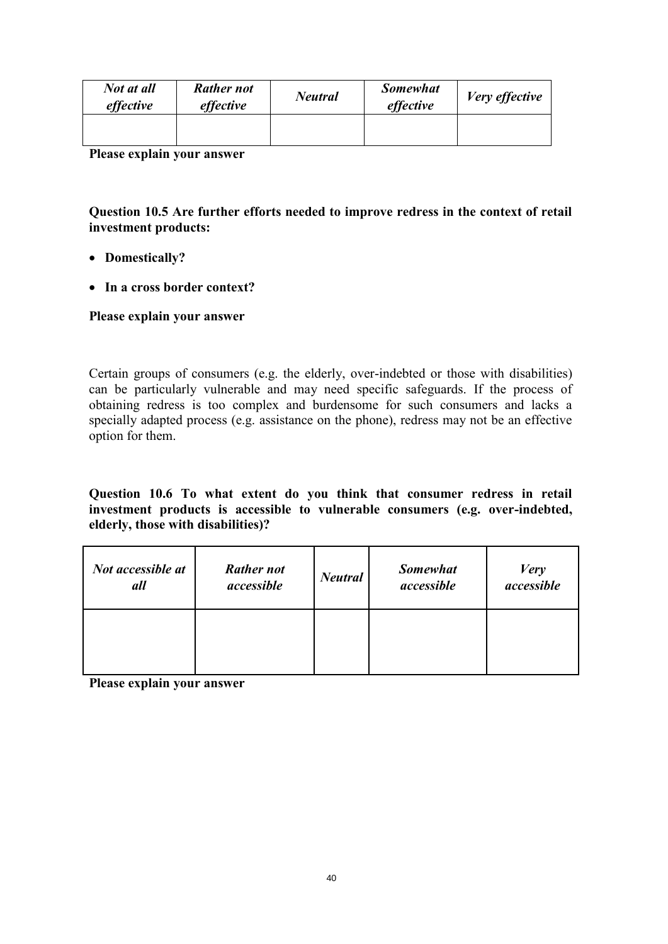| Not at all<br>effective | <b>Rather not</b><br>effective | <b>Neutral</b> | <b>Somewhat</b><br>effective | Very effective |
|-------------------------|--------------------------------|----------------|------------------------------|----------------|
|                         |                                |                |                              |                |

**Please explain your answer** 

## **Question 10.5 Are further efforts needed to improve redress in the context of retail investment products:**

- **Domestically?**
- **In a cross border context?**

### **Please explain your answer**

Certain groups of consumers (e.g. the elderly, over-indebted or those with disabilities) can be particularly vulnerable and may need specific safeguards. If the process of obtaining redress is too complex and burdensome for such consumers and lacks a specially adapted process (e.g. assistance on the phone), redress may not be an effective option for them.

#### **Question 10.6 To what extent do you think that consumer redress in retail investment products is accessible to vulnerable consumers (e.g. over-indebted, elderly, those with disabilities)?**

| Not accessible at | <b>Rather not</b> | <b>Neutral</b> | <b>Somewhat</b> | <b>Very</b> |
|-------------------|-------------------|----------------|-----------------|-------------|
| all               | accessible        |                | accessible      | accessible  |
|                   |                   |                |                 |             |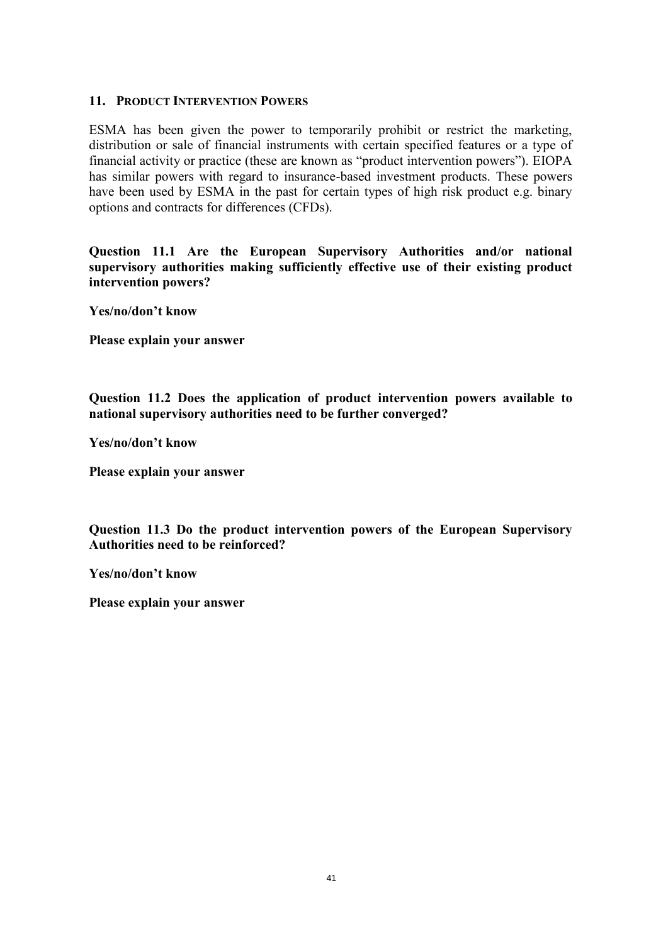### **11. PRODUCT INTERVENTION POWERS**

ESMA has been given the power to temporarily prohibit or restrict the marketing, distribution or sale of financial instruments with certain specified features or a type of financial activity or practice (these are known as "product intervention powers"). EIOPA has similar powers with regard to insurance-based investment products. These powers have been used by ESMA in the past for certain types of high risk product e.g. binary options and contracts for differences (CFDs).

**Question 11.1 Are the European Supervisory Authorities and/or national supervisory authorities making sufficiently effective use of their existing product intervention powers?** 

**Yes/no/don't know** 

**Please explain your answer** 

**Question 11.2 Does the application of product intervention powers available to national supervisory authorities need to be further converged?** 

**Yes/no/don't know** 

**Please explain your answer** 

**Question 11.3 Do the product intervention powers of the European Supervisory Authorities need to be reinforced?** 

**Yes/no/don't know**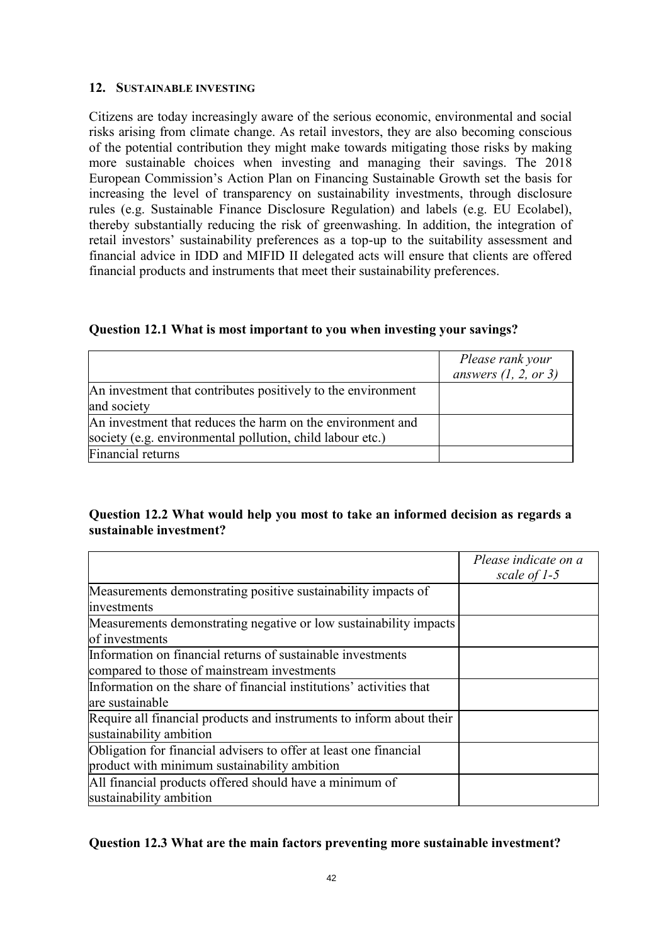#### **12. SUSTAINABLE INVESTING**

Citizens are today increasingly aware of the serious economic, environmental and social risks arising from climate change. As retail investors, they are also becoming conscious of the potential contribution they might make towards mitigating those risks by making more sustainable choices when investing and managing their savings. The 2018 European Commission's Action Plan on Financing Sustainable Growth set the basis for increasing the level of transparency on sustainability investments, through disclosure rules (e.g. Sustainable Finance Disclosure Regulation) and labels (e.g. EU Ecolabel), thereby substantially reducing the risk of greenwashing. In addition, the integration of retail investors' sustainability preferences as a top-up to the suitability assessment and financial advice in IDD and MIFID II delegated acts will ensure that clients are offered financial products and instruments that meet their sustainability preferences.

|  |  | Question 12.1 What is most important to you when investing your savings? |  |
|--|--|--------------------------------------------------------------------------|--|
|  |  |                                                                          |  |

|                                                              | Please rank your       |
|--------------------------------------------------------------|------------------------|
|                                                              | answers $(1, 2, or 3)$ |
| An investment that contributes positively to the environment |                        |
| and society                                                  |                        |
| An investment that reduces the harm on the environment and   |                        |
| society (e.g. environmental pollution, child labour etc.)    |                        |
| Financial returns                                            |                        |

# **Question 12.2 What would help you most to take an informed decision as regards a sustainable investment?**

|                                                                                                                   | Please indicate on a<br>scale of 1-5 |
|-------------------------------------------------------------------------------------------------------------------|--------------------------------------|
| Measurements demonstrating positive sustainability impacts of                                                     |                                      |
| investments                                                                                                       |                                      |
| Measurements demonstrating negative or low sustainability impacts<br>of investments                               |                                      |
| Information on financial returns of sustainable investments                                                       |                                      |
| compared to those of mainstream investments                                                                       |                                      |
| Information on the share of financial institutions' activities that<br>are sustainable                            |                                      |
| Require all financial products and instruments to inform about their<br>sustainability ambition                   |                                      |
| Obligation for financial advisers to offer at least one financial<br>product with minimum sustainability ambition |                                      |
| All financial products offered should have a minimum of<br>sustainability ambition                                |                                      |

### **Question 12.3 What are the main factors preventing more sustainable investment?**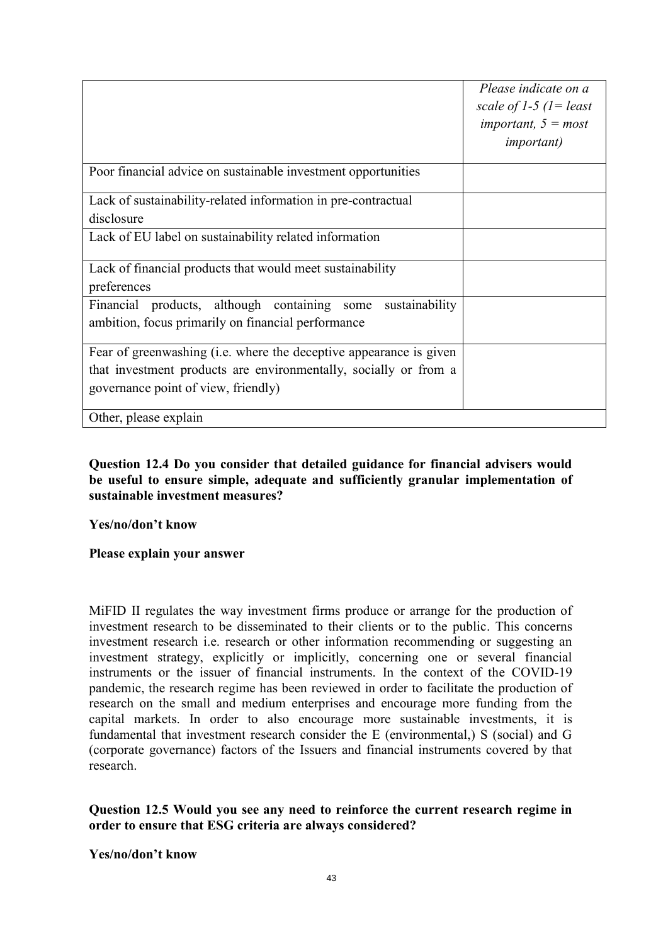|                                                                                                                                                                               | Please indicate on a<br>scale of 1-5 $(l = least$<br>important, $5 = most$<br><i>important</i> ) |
|-------------------------------------------------------------------------------------------------------------------------------------------------------------------------------|--------------------------------------------------------------------------------------------------|
| Poor financial advice on sustainable investment opportunities                                                                                                                 |                                                                                                  |
| Lack of sustainability-related information in pre-contractual<br>disclosure                                                                                                   |                                                                                                  |
| Lack of EU label on sustainability related information                                                                                                                        |                                                                                                  |
| Lack of financial products that would meet sustainability<br>preferences                                                                                                      |                                                                                                  |
| Financial products, although containing some<br>sustainability<br>ambition, focus primarily on financial performance                                                          |                                                                                                  |
| Fear of greenwashing (i.e. where the deceptive appearance is given<br>that investment products are environmentally, socially or from a<br>governance point of view, friendly) |                                                                                                  |
| Other, please explain                                                                                                                                                         |                                                                                                  |

## **Question 12.4 Do you consider that detailed guidance for financial advisers would be useful to ensure simple, adequate and sufficiently granular implementation of sustainable investment measures?**

**Yes/no/don't know** 

**Please explain your answer** 

MiFID II regulates the way investment firms produce or arrange for the production of investment research to be disseminated to their clients or to the public. This concerns investment research i.e. research or other information recommending or suggesting an investment strategy, explicitly or implicitly, concerning one or several financial instruments or the issuer of financial instruments. In the context of the COVID-19 pandemic, the research regime has been reviewed in order to facilitate the production of research on the small and medium enterprises and encourage more funding from the capital markets. In order to also encourage more sustainable investments, it is fundamental that investment research consider the E (environmental,) S (social) and G (corporate governance) factors of the Issuers and financial instruments covered by that research.

### **Question 12.5 Would you see any need to reinforce the current research regime in order to ensure that ESG criteria are always considered?**

**Yes/no/don't know**